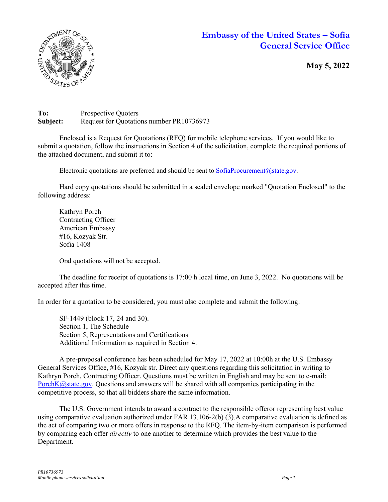

# **Embassy of the United States – Sofia General Service Office**

 **May 5, 2022**

**To:** Prospective Quoters **Subject:** Request for Quotations number PR10736973

 Enclosed is a Request for Quotations (RFQ) for mobile telephone services. If you would like to submit a quotation, follow the instructions in Section 4 of the solicitation, complete the required portions of the attached document, and submit it to:

Electronic quotations are preferred and should be sent to  $SofiaProcurrent@state.gov$ .

 Hard copy quotations should be submitted in a sealed envelope marked "Quotation Enclosed" to the following address:

 Kathryn Porch Contracting Officer American Embassy #16, Kozyak Str. Sofia 1408

Oral quotations will not be accepted.

 The deadline for receipt of quotations is 17:00 h local time, on June 3, 2022. No quotations will be accepted after this time.

In order for a quotation to be considered, you must also complete and submit the following:

 SF-1449 (block 17, 24 and 30). Section 1, The Schedule Section 5, Representations and Certifications Additional Information as required in Section 4.

 A pre-proposal conference has been scheduled for May 17, 2022 at 10:00h at the U.S. Embassy General Services Office, #16, Kozyak str. Direct any questions regarding this solicitation in writing to Kathryn Porch, Contracting Officer. Questions must be written in English and may be sent to e-mail: PorchK@state.gov. Questions and answers will be shared with all companies participating in the competitive process, so that all bidders share the same information.

 The U.S. Government intends to award a contract to the responsible offeror representing best value using comparative evaluation authorized under FAR 13.106-2(b) (3).A comparative evaluation is defined as the act of comparing two or more offers in response to the RFQ. The item-by-item comparison is performed by comparing each offer *directly* to one another to determine which provides the best value to the Department.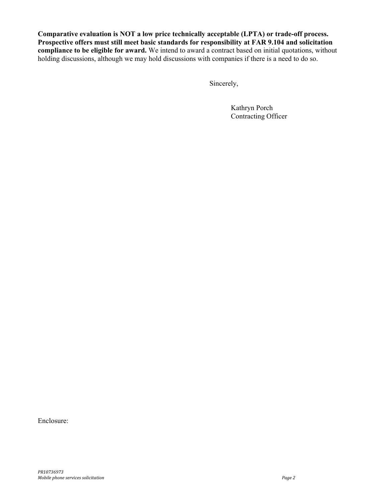**Comparative evaluation is NOT a low price technically acceptable (LPTA) or trade-off process. Prospective offers must still meet basic standards for responsibility at FAR 9.104 and solicitation compliance to be eligible for award.** We intend to award a contract based on initial quotations, without holding discussions, although we may hold discussions with companies if there is a need to do so.

Sincerely,

 Kathryn Porch Contracting Officer

Enclosure: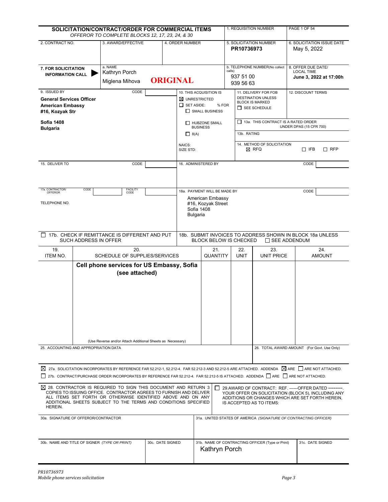|                                                                                                                                                                                                                                                                                                                                                                                                                                                                                                |                       | SOLICITATION/CONTRACT/ORDER FOR COMMERCIAL ITEMS<br>OFFEROR TO COMPLETE BLOCKS 12, 17, 23, 24, & 30                          |                  |                                            |                                                    | 1. REQUISITION NUMBER<br>PAGE 1 OF 54 |                                                                                                    |                                                  |                                                                                                                                                                     |
|------------------------------------------------------------------------------------------------------------------------------------------------------------------------------------------------------------------------------------------------------------------------------------------------------------------------------------------------------------------------------------------------------------------------------------------------------------------------------------------------|-----------------------|------------------------------------------------------------------------------------------------------------------------------|------------------|--------------------------------------------|----------------------------------------------------|---------------------------------------|----------------------------------------------------------------------------------------------------|--------------------------------------------------|---------------------------------------------------------------------------------------------------------------------------------------------------------------------|
| 2. CONTRACT NO.                                                                                                                                                                                                                                                                                                                                                                                                                                                                                |                       | 3. AWARD/EFFECTIVE                                                                                                           |                  | 4. ORDER NUMBER                            |                                                    |                                       | PR10736973                                                                                         | 5. SOLICITATION NUMBER                           | 6. SOLICITATION ISSUE DATE<br>May 5, 2022                                                                                                                           |
| 7. FOR SOLICITATION<br><b>INFORMATION CALL</b>                                                                                                                                                                                                                                                                                                                                                                                                                                                 |                       | a. NAME<br>Kathryn Porch<br>Miglena Mihova                                                                                   | <b>ORIGINAL</b>  |                                            |                                                    | calls)                                | 937 51 00<br>939 56 63                                                                             | b. TELEPHONE NUMBER(No collect                   | 8. OFFER DUE DATE/<br><b>LOCAL TIME</b><br>June 3, 2022 at 17:00h                                                                                                   |
| 9. ISSUED BY<br><b>General Services Officer</b><br><b>American Embassy</b><br>#16, Kozyak Str                                                                                                                                                                                                                                                                                                                                                                                                  |                       | CODE                                                                                                                         |                  | <b>X</b> UNRESTRICTED<br>$\Box$ SET ASIDE: | 10. THIS ACQUISITION IS<br>% FOR<br>SMALL BUSINESS |                                       | 11. DELIVERY FOR FOB<br><b>DESTINATION UNLESS</b><br><b>BLOCK IS MARKED</b><br>$\Box$ SEE SCHEDULE | 12. DISCOUNT TERMS                               |                                                                                                                                                                     |
| <b>Sofia 1408</b>                                                                                                                                                                                                                                                                                                                                                                                                                                                                              |                       |                                                                                                                              |                  |                                            | HUBZONE SMALL<br><b>BUSINESS</b>                   |                                       |                                                                                                    | 13a. THIS CONTRACT IS A RATED ORDER              | UNDER DPAS (15 CFR 700)                                                                                                                                             |
| <b>Bulgaria</b>                                                                                                                                                                                                                                                                                                                                                                                                                                                                                |                       |                                                                                                                              |                  | $\Box$ 8(A)                                |                                                    |                                       | 13b. RATING                                                                                        |                                                  |                                                                                                                                                                     |
|                                                                                                                                                                                                                                                                                                                                                                                                                                                                                                |                       |                                                                                                                              |                  | NAICS:<br>SIZE STD:                        |                                                    |                                       |                                                                                                    | 14. METHOD OF SOLICITATION<br>⊠ RFQ              | $\Box$ RFP<br>$\Box$ IFB                                                                                                                                            |
| 15. DELIVER TO                                                                                                                                                                                                                                                                                                                                                                                                                                                                                 |                       | CODE                                                                                                                         |                  | 16. ADMINISTERED BY                        |                                                    |                                       |                                                                                                    |                                                  | CODE                                                                                                                                                                |
|                                                                                                                                                                                                                                                                                                                                                                                                                                                                                                |                       |                                                                                                                              |                  |                                            |                                                    |                                       |                                                                                                    |                                                  |                                                                                                                                                                     |
| 17a. CONTRACTOR/<br><b>OFFEROR</b>                                                                                                                                                                                                                                                                                                                                                                                                                                                             | CODE                  | <b>FACILITY</b><br>CODE                                                                                                      |                  |                                            | 18a. PAYMENT WILL BE MADE BY                       |                                       |                                                                                                    |                                                  | CODE                                                                                                                                                                |
| TELEPHONE NO.                                                                                                                                                                                                                                                                                                                                                                                                                                                                                  |                       |                                                                                                                              |                  | Sofia 1408<br>Bulgaria                     | American Embassy<br>#16, Kozyak Street             |                                       |                                                                                                    |                                                  |                                                                                                                                                                     |
|                                                                                                                                                                                                                                                                                                                                                                                                                                                                                                | SUCH ADDRESS IN OFFER | 17b. CHECK IF REMITTANCE IS DIFFERENT AND PUT                                                                                |                  |                                            | <b>BLOCK BELOW IS CHECKED</b>                      |                                       |                                                                                                    |                                                  | 18b. SUBMIT INVOICES TO ADDRESS SHOWN IN BLOCK 18a UNLESS<br>$\Box$ SEE ADDENDUM                                                                                    |
| 19.<br>ITEM NO.                                                                                                                                                                                                                                                                                                                                                                                                                                                                                |                       | 20.<br>SCHEDULE OF SUPPLIES/SERVICES                                                                                         |                  |                                            | 21.<br>QUANTITY                                    |                                       | 22.<br><b>UNIT</b>                                                                                 | 23.<br><b>UNIT PRICE</b>                         | 24.<br><b>AMOUNT</b>                                                                                                                                                |
|                                                                                                                                                                                                                                                                                                                                                                                                                                                                                                |                       | Cell phone services for US Embassy, Sofia<br>(see attached)                                                                  |                  |                                            |                                                    |                                       |                                                                                                    |                                                  |                                                                                                                                                                     |
|                                                                                                                                                                                                                                                                                                                                                                                                                                                                                                |                       | (Use Reverse and/or Attach Additional Sheets as Necessary)                                                                   |                  |                                            |                                                    |                                       |                                                                                                    |                                                  |                                                                                                                                                                     |
| 25. ACCOUNTING AND APPROPRIATION DATA                                                                                                                                                                                                                                                                                                                                                                                                                                                          |                       |                                                                                                                              |                  |                                            |                                                    |                                       |                                                                                                    |                                                  | 26. TOTAL AWARD AMOUNT (For Govt. Use Only)                                                                                                                         |
|                                                                                                                                                                                                                                                                                                                                                                                                                                                                                                |                       | 27b. CONTRACT/PURCHASE ORDER INCORPORATES BY REFERENCE FAR 52.212-4. FAR 52.212-5 IS ATTACHED. ADDENDA ARE ARE NOT ATTACHED. |                  |                                            |                                                    |                                       |                                                                                                    |                                                  | $\boxtimes$ 27a. SOLICITATION INCORPORATES BY REFERENCE FAR 52.212-1, 52.212-4. FAR 52.212-3 AND 52.212-5 ARE ATTACHED. ADDENDA $\boxtimes$ ARE □ ARE NOT ATTACHED. |
| $\boxtimes$ 28. CONTRACTOR IS REQUIRED TO SIGN THIS DOCUMENT AND RETURN 3<br>29.AWARD OF CONTRACT: REF. ------ OFFER DATED --------<br>COPIES TO ISSUING OFFICE. CONTRACTOR AGREES TO FURNISH AND DELIVER<br>YOUR OFFER ON SOLICITATION (BLOCK 5), INCLUDING ANY<br>ALL ITEMS SET FORTH OR OTHERWISE IDENTIFIED ABOVE AND ON ANY<br>ADDITIONS OR CHANGES WHICH ARE SET FORTH HEREIN,<br>ADDITIONAL SHEETS SUBJECT TO THE TERMS AND CONDITIONS SPECIFIED<br>IS ACCEPTED AS TO ITEMS:<br>HEREIN. |                       |                                                                                                                              |                  |                                            |                                                    |                                       |                                                                                                    |                                                  |                                                                                                                                                                     |
| 30a. SIGNATURE OF OFFEROR/CONTRACTOR                                                                                                                                                                                                                                                                                                                                                                                                                                                           |                       |                                                                                                                              |                  |                                            |                                                    |                                       |                                                                                                    |                                                  | 31a. UNITED STATES OF AMERICA (SIGNATURE OF CONTRACTING OFFICER)                                                                                                    |
| 30b. NAME AND TITLE OF SIGNER (TYPE OR PRINT)                                                                                                                                                                                                                                                                                                                                                                                                                                                  |                       |                                                                                                                              | 30c. DATE SIGNED |                                            | Kathryn Porch                                      |                                       |                                                                                                    | 31b. NAME OF CONTRACTING OFFICER (Type or Print) | 31c. DATE SIGNED                                                                                                                                                    |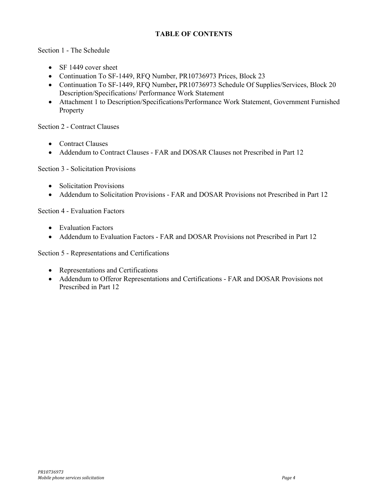# **TABLE OF CONTENTS**

Section 1 - The Schedule

- SF 1449 cover sheet
- Continuation To SF-1449, RFQ Number, PR10736973 Prices, Block 23
- Continuation To SF-1449, RFQ Number**,** PR10736973 Schedule Of Supplies/Services, Block 20 Description/Specifications/ Performance Work Statement
- Attachment 1 to Description/Specifications/Performance Work Statement, Government Furnished Property

Section 2 - Contract Clauses

- Contract Clauses
- Addendum to Contract Clauses FAR and DOSAR Clauses not Prescribed in Part 12

Section 3 - Solicitation Provisions

- Solicitation Provisions
- Addendum to Solicitation Provisions FAR and DOSAR Provisions not Prescribed in Part 12

Section 4 - Evaluation Factors

- Evaluation Factors
- Addendum to Evaluation Factors FAR and DOSAR Provisions not Prescribed in Part 12

Section 5 - Representations and Certifications

- Representations and Certifications
- Addendum to Offeror Representations and Certifications FAR and DOSAR Provisions not Prescribed in Part 12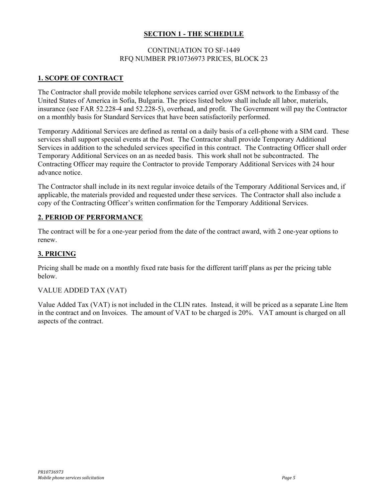# **SECTION 1 - THE SCHEDULE**

#### CONTINUATION TO SF-1449 RFQ NUMBER PR10736973 PRICES, BLOCK 23

#### **1. SCOPE OF CONTRACT**

The Contractor shall provide mobile telephone services carried over GSM network to the Embassy of the United States of America in Sofia, Bulgaria. The prices listed below shall include all labor, materials, insurance (see FAR 52.228-4 and 52.228-5), overhead, and profit. The Government will pay the Contractor on a monthly basis for Standard Services that have been satisfactorily performed.

Temporary Additional Services are defined as rental on a daily basis of a cell-phone with a SIM card. These services shall support special events at the Post. The Contractor shall provide Temporary Additional Services in addition to the scheduled services specified in this contract. The Contracting Officer shall order Temporary Additional Services on an as needed basis. This work shall not be subcontracted. The Contracting Officer may require the Contractor to provide Temporary Additional Services with 24 hour advance notice.

The Contractor shall include in its next regular invoice details of the Temporary Additional Services and, if applicable, the materials provided and requested under these services. The Contractor shall also include a copy of the Contracting Officer's written confirmation for the Temporary Additional Services.

#### **2. PERIOD OF PERFORMANCE**

The contract will be for a one-year period from the date of the contract award, with 2 one-year options to renew.

#### **3. PRICING**

Pricing shall be made on a monthly fixed rate basis for the different tariff plans as per the pricing table below.

#### VALUE ADDED TAX (VAT)

Value Added Tax (VAT) is not included in the CLIN rates. Instead, it will be priced as a separate Line Item in the contract and on Invoices. The amount of VAT to be charged is 20%. VAT amount is charged on all aspects of the contract.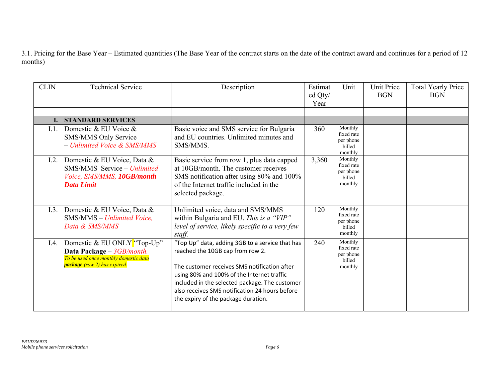3.1. Pricing for the Base Year – Estimated quantities (The Base Year of the contract starts on the date of the contract award and continues for a period of 12 months)

| <b>CLIN</b> | <b>Technical Service</b>                                                                                                          | Description                                                                                                                                                                                                                                                                                                                  | Estimat<br>ed Qty/<br>Year | Unit                                                    | Unit Price<br><b>BGN</b> | <b>Total Yearly Price</b><br><b>BGN</b> |
|-------------|-----------------------------------------------------------------------------------------------------------------------------------|------------------------------------------------------------------------------------------------------------------------------------------------------------------------------------------------------------------------------------------------------------------------------------------------------------------------------|----------------------------|---------------------------------------------------------|--------------------------|-----------------------------------------|
|             | <b>STANDARD SERVICES</b>                                                                                                          |                                                                                                                                                                                                                                                                                                                              |                            |                                                         |                          |                                         |
| I.1.        | Domestic & EU Voice &<br>SMS/MMS Only Service<br>- Unlimited Voice & SMS/MMS                                                      | Basic voice and SMS service for Bulgaria<br>and EU countries. Unlimited minutes and<br>SMS/MMS.                                                                                                                                                                                                                              | 360                        | Monthly<br>fixed rate<br>per phone<br>billed<br>monthly |                          |                                         |
| I.2.        | Domestic & EU Voice, Data &<br>SMS/MMS Service - Unlimited<br>Voice, SMS/MMS, 10GB/month<br><b>Data Limit</b>                     | Basic service from row 1, plus data capped<br>at 10GB/month. The customer receives<br>SMS notification after using 80% and 100%<br>of the Internet traffic included in the<br>selected package.                                                                                                                              | 3,360                      | Monthly<br>fixed rate<br>per phone<br>billed<br>monthly |                          |                                         |
| I.3.        | Domestic & EU Voice, Data &<br>SMS/MMS - Unlimited Voice,<br>Data & SMS/MMS                                                       | Unlimited voice, data and SMS/MMS<br>within Bulgaria and EU. This is a "VIP"<br>level of service, likely specific to a very few<br>staff.                                                                                                                                                                                    | 120                        | Monthly<br>fixed rate<br>per phone<br>billed<br>monthly |                          |                                         |
| I.4.        | Domestic & EU ONLY "Top-Up"<br>Data Package - 3GB/month.<br>To be used once monthly domestic data<br>package (row 2) has expired. | "Top Up" data, adding 3GB to a service that has<br>reached the 10GB cap from row 2.<br>The customer receives SMS notification after<br>using 80% and 100% of the Internet traffic<br>included in the selected package. The customer<br>also receives SMS notification 24 hours before<br>the expiry of the package duration. | 240                        | Monthly<br>fixed rate<br>per phone<br>billed<br>monthly |                          |                                         |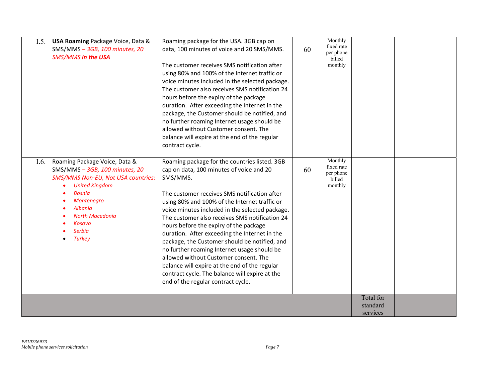| I.5. | <b>USA Roaming Package Voice, Data &amp;</b><br>SMS/MMS - 3GB, 100 minutes, 20<br>SMS/MMS in the USA                                                                                                                                                  | Roaming package for the USA. 3GB cap on<br>data, 100 minutes of voice and 20 SMS/MMS.<br>The customer receives SMS notification after<br>using 80% and 100% of the Internet traffic or<br>voice minutes included in the selected package.<br>The customer also receives SMS notification 24<br>hours before the expiry of the package<br>duration. After exceeding the Internet in the<br>package, the Customer should be notified, and<br>no further roaming Internet usage should be<br>allowed without Customer consent. The<br>balance will expire at the end of the regular<br>contract cycle.                                                                                      | 60 | Monthly<br>fixed rate<br>per phone<br>billed<br>monthly |                                   |  |
|------|-------------------------------------------------------------------------------------------------------------------------------------------------------------------------------------------------------------------------------------------------------|------------------------------------------------------------------------------------------------------------------------------------------------------------------------------------------------------------------------------------------------------------------------------------------------------------------------------------------------------------------------------------------------------------------------------------------------------------------------------------------------------------------------------------------------------------------------------------------------------------------------------------------------------------------------------------------|----|---------------------------------------------------------|-----------------------------------|--|
| I.6. | Roaming Package Voice, Data &<br>SMS/MMS - 3GB, 100 minutes, 20<br>SMS/MMS Non-EU, Not USA countries:<br><b>United Kingdom</b><br><b>Bosnia</b><br>Montenegro<br><b>Albania</b><br><b>North Macedonia</b><br>Kosovo<br><b>Serbia</b><br><b>Turkey</b> | Roaming package for the countries listed. 3GB<br>cap on data, 100 minutes of voice and 20<br>SMS/MMS.<br>The customer receives SMS notification after<br>using 80% and 100% of the Internet traffic or<br>voice minutes included in the selected package.<br>The customer also receives SMS notification 24<br>hours before the expiry of the package<br>duration. After exceeding the Internet in the<br>package, the Customer should be notified, and<br>no further roaming Internet usage should be<br>allowed without Customer consent. The<br>balance will expire at the end of the regular<br>contract cycle. The balance will expire at the<br>end of the regular contract cycle. | 60 | Monthly<br>fixed rate<br>per phone<br>billed<br>monthly |                                   |  |
|      |                                                                                                                                                                                                                                                       |                                                                                                                                                                                                                                                                                                                                                                                                                                                                                                                                                                                                                                                                                          |    |                                                         | Total for<br>standard<br>services |  |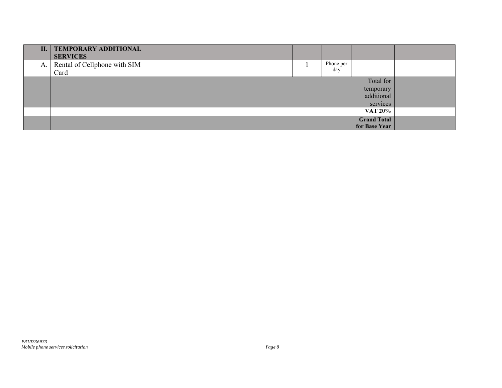| <b>II. TEMPORARY ADDITIONAL</b><br><b>SERVICES</b> |                        |  |                  |                                     |  |
|----------------------------------------------------|------------------------|--|------------------|-------------------------------------|--|
| A. Rental of Cellphone with SIM<br>Card            |                        |  | Phone per<br>day |                                     |  |
|                                                    | Total for<br>temporary |  |                  |                                     |  |
|                                                    | additional<br>services |  |                  |                                     |  |
|                                                    | <b>VAT 20%</b>         |  |                  |                                     |  |
|                                                    |                        |  |                  | <b>Grand Total</b><br>for Base Year |  |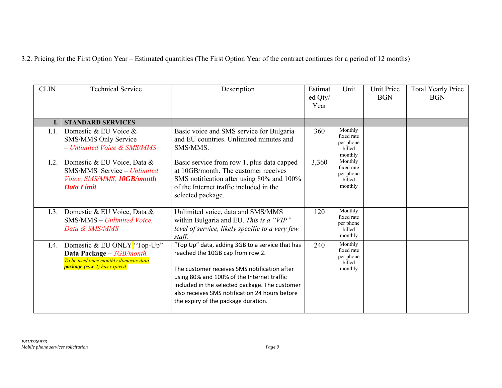3.2. Pricing for the First Option Year – Estimated quantities (The First Option Year of the contract continues for a period of 12 months)

| <b>CLIN</b> | <b>Technical Service</b>                                                                                                             | Description                                                                                                                                                                                                                                                                                                                  | Estimat<br>ed Qty/<br>Year | Unit                                                    | Unit Price<br><b>BGN</b> | <b>Total Yearly Price</b><br><b>BGN</b> |
|-------------|--------------------------------------------------------------------------------------------------------------------------------------|------------------------------------------------------------------------------------------------------------------------------------------------------------------------------------------------------------------------------------------------------------------------------------------------------------------------------|----------------------------|---------------------------------------------------------|--------------------------|-----------------------------------------|
|             | <b>STANDARD SERVICES</b>                                                                                                             |                                                                                                                                                                                                                                                                                                                              |                            |                                                         |                          |                                         |
| I.1.        | Domestic & EU Voice &                                                                                                                | Basic voice and SMS service for Bulgaria                                                                                                                                                                                                                                                                                     | 360                        | Monthly                                                 |                          |                                         |
|             | SMS/MMS Only Service<br>- Unlimited Voice & SMS/MMS                                                                                  | and EU countries. Unlimited minutes and<br>SMS/MMS.                                                                                                                                                                                                                                                                          |                            | fixed rate<br>per phone<br>billed<br>monthly            |                          |                                         |
| 1.2.        | Domestic & EU Voice, Data &<br>SMS/MMS Service - Unlimited<br>Voice, SMS/MMS, 10GB/month<br><b>Data Limit</b>                        | Basic service from row 1, plus data capped<br>at 10GB/month. The customer receives<br>SMS notification after using 80% and 100%<br>of the Internet traffic included in the<br>selected package.                                                                                                                              | 3,360                      | Monthly<br>fixed rate<br>per phone<br>billed<br>monthly |                          |                                         |
| 1.3.        | Domestic & EU Voice, Data &<br>SMS/MMS - Unlimited Voice,<br>Data & SMS/MMS                                                          | Unlimited voice, data and SMS/MMS<br>within Bulgaria and EU. This is a "VIP"<br>level of service, likely specific to a very few<br>staff.                                                                                                                                                                                    | 120                        | Monthly<br>fixed rate<br>per phone<br>billed<br>monthly |                          |                                         |
| I.4.        | Domestic & EU ONLY "Top-Up"<br>Data Package $- 3GB/month$ .<br>To be used once monthly domestic data<br>package (row 2) has expired. | "Top Up" data, adding 3GB to a service that has<br>reached the 10GB cap from row 2.<br>The customer receives SMS notification after<br>using 80% and 100% of the Internet traffic<br>included in the selected package. The customer<br>also receives SMS notification 24 hours before<br>the expiry of the package duration. | 240                        | Monthly<br>fixed rate<br>per phone<br>billed<br>monthly |                          |                                         |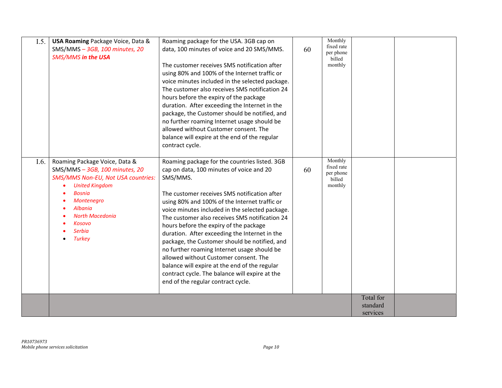| I.5. | <b>USA Roaming Package Voice, Data &amp;</b><br>SMS/MMS - 3GB, 100 minutes, 20<br>SMS/MMS in the USA                                                                                                                                                  | Roaming package for the USA. 3GB cap on<br>data, 100 minutes of voice and 20 SMS/MMS.<br>The customer receives SMS notification after<br>using 80% and 100% of the Internet traffic or<br>voice minutes included in the selected package.<br>The customer also receives SMS notification 24<br>hours before the expiry of the package<br>duration. After exceeding the Internet in the<br>package, the Customer should be notified, and<br>no further roaming Internet usage should be<br>allowed without Customer consent. The<br>balance will expire at the end of the regular<br>contract cycle.                                                                                      | 60 | Monthly<br>fixed rate<br>per phone<br>billed<br>monthly |                                   |  |
|------|-------------------------------------------------------------------------------------------------------------------------------------------------------------------------------------------------------------------------------------------------------|------------------------------------------------------------------------------------------------------------------------------------------------------------------------------------------------------------------------------------------------------------------------------------------------------------------------------------------------------------------------------------------------------------------------------------------------------------------------------------------------------------------------------------------------------------------------------------------------------------------------------------------------------------------------------------------|----|---------------------------------------------------------|-----------------------------------|--|
| I.6. | Roaming Package Voice, Data &<br>SMS/MMS - 3GB, 100 minutes, 20<br>SMS/MMS Non-EU, Not USA countries:<br><b>United Kingdom</b><br><b>Bosnia</b><br>Montenegro<br><b>Albania</b><br><b>North Macedonia</b><br>Kosovo<br><b>Serbia</b><br><b>Turkey</b> | Roaming package for the countries listed. 3GB<br>cap on data, 100 minutes of voice and 20<br>SMS/MMS.<br>The customer receives SMS notification after<br>using 80% and 100% of the Internet traffic or<br>voice minutes included in the selected package.<br>The customer also receives SMS notification 24<br>hours before the expiry of the package<br>duration. After exceeding the Internet in the<br>package, the Customer should be notified, and<br>no further roaming Internet usage should be<br>allowed without Customer consent. The<br>balance will expire at the end of the regular<br>contract cycle. The balance will expire at the<br>end of the regular contract cycle. | 60 | Monthly<br>fixed rate<br>per phone<br>billed<br>monthly |                                   |  |
|      |                                                                                                                                                                                                                                                       |                                                                                                                                                                                                                                                                                                                                                                                                                                                                                                                                                                                                                                                                                          |    |                                                         | Total for<br>standard<br>services |  |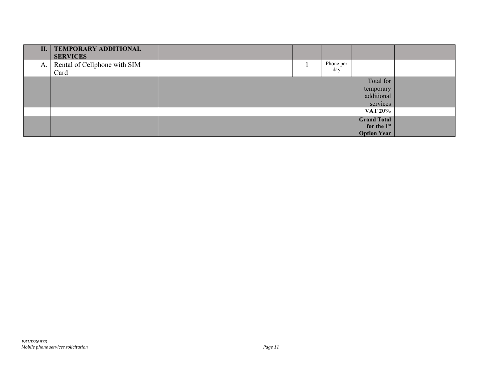| II. TEMPORARY ADDITIONAL<br><b>SERVICES</b> |                    |  |                  |                         |  |
|---------------------------------------------|--------------------|--|------------------|-------------------------|--|
| A. Rental of Cellphone with SIM<br>Card     |                    |  | Phone per<br>day |                         |  |
|                                             |                    |  |                  |                         |  |
|                                             | Total for          |  |                  |                         |  |
|                                             |                    |  |                  | temporary               |  |
|                                             |                    |  |                  | additional              |  |
|                                             |                    |  |                  | services                |  |
|                                             | <b>VAT 20%</b>     |  |                  |                         |  |
|                                             | <b>Grand Total</b> |  |                  |                         |  |
|                                             |                    |  |                  | for the 1 <sup>st</sup> |  |
|                                             |                    |  |                  | <b>Option Year</b>      |  |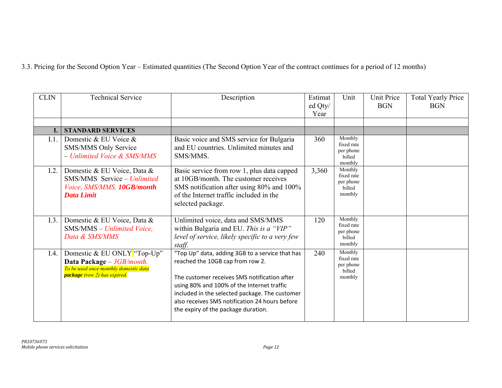3.3. Pricing for the Second Option Year – Estimated quantities (The Second Option Year of the contract continues for a period of 12 months)

| <b>CLIN</b> | <b>Technical Service</b>                                                                                                            | Description                                                                                                                                                                                                                                                                                                                  | Estimat<br>ed Qty/<br>Year | Unit                                                    | Unit Price<br><b>BGN</b> | <b>Total Yearly Price</b><br><b>BGN</b> |
|-------------|-------------------------------------------------------------------------------------------------------------------------------------|------------------------------------------------------------------------------------------------------------------------------------------------------------------------------------------------------------------------------------------------------------------------------------------------------------------------------|----------------------------|---------------------------------------------------------|--------------------------|-----------------------------------------|
|             | <b>STANDARD SERVICES</b>                                                                                                            |                                                                                                                                                                                                                                                                                                                              |                            |                                                         |                          |                                         |
| I.1.        | Domestic & EU Voice &<br>SMS/MMS Only Service<br>- Unlimited Voice & SMS/MMS                                                        | Basic voice and SMS service for Bulgaria<br>and EU countries. Unlimited minutes and<br>SMS/MMS.                                                                                                                                                                                                                              | 360                        | Monthly<br>fixed rate<br>per phone<br>billed<br>monthly |                          |                                         |
| 1.2.        | Domestic & EU Voice, Data &<br>SMS/MMS Service - Unlimited<br>Voice, SMS/MMS, 10GB/month<br><b>Data Limit</b>                       | Basic service from row 1, plus data capped<br>at 10GB/month. The customer receives<br>SMS notification after using 80% and 100%<br>of the Internet traffic included in the<br>selected package.                                                                                                                              | 3,360                      | Monthly<br>fixed rate<br>per phone<br>billed<br>monthly |                          |                                         |
| I.3.        | Domestic & EU Voice, Data &<br>SMS/MMS - Unlimited Voice,<br>Data & SMS/MMS                                                         | Unlimited voice, data and SMS/MMS<br>within Bulgaria and EU. This is a "VIP"<br>level of service, likely specific to a very few<br>staff.                                                                                                                                                                                    | 120                        | Monthly<br>fixed rate<br>per phone<br>billed<br>monthly |                          |                                         |
| I.4.        | Domestic & EU ONLY "Top-Up"<br>Data Package $-3GB/month$ .<br>To be used once monthly domestic data<br>package (row 2) has expired. | "Top Up" data, adding 3GB to a service that has<br>reached the 10GB cap from row 2.<br>The customer receives SMS notification after<br>using 80% and 100% of the Internet traffic<br>included in the selected package. The customer<br>also receives SMS notification 24 hours before<br>the expiry of the package duration. | 240                        | Monthly<br>fixed rate<br>per phone<br>billed<br>monthly |                          |                                         |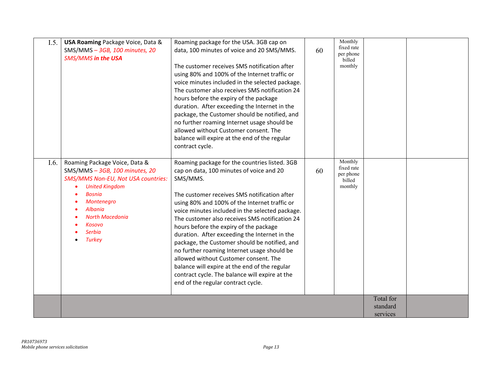| I.5. | <b>USA Roaming Package Voice, Data &amp;</b><br>SMS/MMS - 3GB, 100 minutes, 20<br>SMS/MMS in the USA                                                                                                                                           | Roaming package for the USA. 3GB cap on<br>data, 100 minutes of voice and 20 SMS/MMS.<br>The customer receives SMS notification after<br>using 80% and 100% of the Internet traffic or<br>voice minutes included in the selected package.<br>The customer also receives SMS notification 24<br>hours before the expiry of the package<br>duration. After exceeding the Internet in the<br>package, the Customer should be notified, and<br>no further roaming Internet usage should be<br>allowed without Customer consent. The<br>balance will expire at the end of the regular<br>contract cycle.                                                                                      | 60 | Monthly<br>fixed rate<br>per phone<br>billed<br>monthly |                                   |  |
|------|------------------------------------------------------------------------------------------------------------------------------------------------------------------------------------------------------------------------------------------------|------------------------------------------------------------------------------------------------------------------------------------------------------------------------------------------------------------------------------------------------------------------------------------------------------------------------------------------------------------------------------------------------------------------------------------------------------------------------------------------------------------------------------------------------------------------------------------------------------------------------------------------------------------------------------------------|----|---------------------------------------------------------|-----------------------------------|--|
| I.6. | Roaming Package Voice, Data &<br>SMS/MMS - 3GB, 100 minutes, 20<br>SMS/MMS Non-EU, Not USA countries:<br><b>United Kingdom</b><br>Bosnia<br>Montenegro<br><b>Albania</b><br><b>North Macedonia</b><br>Kosovo<br><b>Serbia</b><br><b>Turkey</b> | Roaming package for the countries listed. 3GB<br>cap on data, 100 minutes of voice and 20<br>SMS/MMS.<br>The customer receives SMS notification after<br>using 80% and 100% of the Internet traffic or<br>voice minutes included in the selected package.<br>The customer also receives SMS notification 24<br>hours before the expiry of the package<br>duration. After exceeding the Internet in the<br>package, the Customer should be notified, and<br>no further roaming Internet usage should be<br>allowed without Customer consent. The<br>balance will expire at the end of the regular<br>contract cycle. The balance will expire at the<br>end of the regular contract cycle. | 60 | Monthly<br>fixed rate<br>per phone<br>billed<br>monthly |                                   |  |
|      |                                                                                                                                                                                                                                                |                                                                                                                                                                                                                                                                                                                                                                                                                                                                                                                                                                                                                                                                                          |    |                                                         | Total for<br>standard<br>services |  |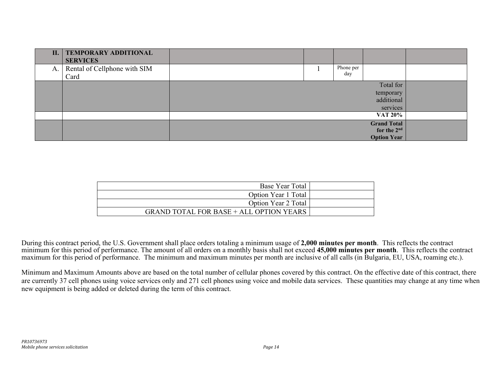| II. TEMPORARY ADDITIONAL<br><b>SERVICES</b> |                         |  |                  |                                   |  |
|---------------------------------------------|-------------------------|--|------------------|-----------------------------------|--|
| A. Rental of Cellphone with SIM<br>Card     |                         |  | Phone per<br>day |                                   |  |
|                                             |                         |  |                  | Total for                         |  |
|                                             | temporary<br>additional |  |                  |                                   |  |
|                                             |                         |  |                  | services                          |  |
|                                             |                         |  |                  | <b>VAT 20%</b>                    |  |
|                                             |                         |  |                  | <b>Grand Total</b><br>for the 2nd |  |
|                                             |                         |  |                  | <b>Option Year</b>                |  |

| Base Year Total                         |  |
|-----------------------------------------|--|
| Option Year 1 Total                     |  |
| Option Year 2 Total                     |  |
| GRAND TOTAL FOR BASE + ALL OPTION YEARS |  |

During this contract period, the U.S. Government shall place orders totaling a minimum usage of **2,000 minutes per month**. This reflects the contract minimum for this period of performance. The amount of all orders on a monthly basis shall not exceed **45,000 minutes per month**. This reflects the contract maximum for this period of performance. The minimum and maximum minutes per month are inclusive of all calls (in Bulgaria, EU, USA, roaming etc.).

Minimum and Maximum Amounts above are based on the total number of cellular phones covered by this contract. On the effective date of this contract, there are currently 37 cell phones using voice services only and 271 cell phones using voice and mobile data services. These quantities may change at any time when new equipment is being added or deleted during the term of this contract.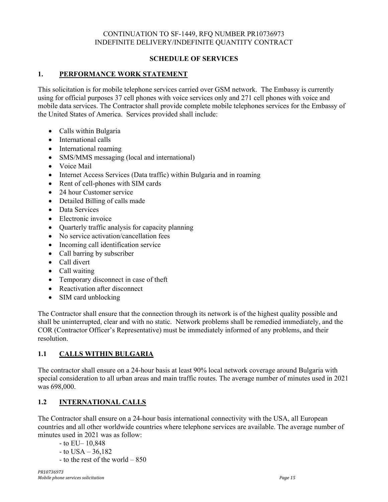#### CONTINUATION TO SF-1449, RFQ NUMBER PR10736973 INDEFINITE DELIVERY/INDEFINITE QUANTITY CONTRACT

## **SCHEDULE OF SERVICES**

#### **1. PERFORMANCE WORK STATEMENT**

This solicitation is for mobile telephone services carried over GSM network. The Embassy is currently using for official purposes 37 cell phones with voice services only and 271 cell phones with voice and mobile data services. The Contractor shall provide complete mobile telephones services for the Embassy of the United States of America. Services provided shall include:

- Calls within Bulgaria
- International calls
- International roaming
- SMS/MMS messaging (local and international)
- Voice Mail
- Internet Access Services (Data traffic) within Bulgaria and in roaming
- Rent of cell-phones with SIM cards
- 24 hour Customer service
- Detailed Billing of calls made
- Data Services
- Electronic invoice
- Quarterly traffic analysis for capacity planning
- No service activation/cancellation fees
- Incoming call identification service
- Call barring by subscriber
- Call divert
- Call waiting
- Temporary disconnect in case of theft
- Reactivation after disconnect
- SIM card unblocking

The Contractor shall ensure that the connection through its network is of the highest quality possible and shall be uninterrupted, clear and with no static. Network problems shall be remedied immediately, and the COR (Contractor Officer's Representative) must be immediately informed of any problems, and their resolution.

# **1.1 CALLS WITHIN BULGARIA**

The contractor shall ensure on a 24-hour basis at least 90% local network coverage around Bulgaria with special consideration to all urban areas and main traffic routes. The average number of minutes used in 2021 was 698,000.

# **1.2 INTERNATIONAL CALLS**

The Contractor shall ensure on a 24-hour basis international connectivity with the USA, all European countries and all other worldwide countries where telephone services are available. The average number of minutes used in 2021 was as follow:

- to EU– 10,848
- $-$  to USA  $-$  36,182
- to the rest of the world 850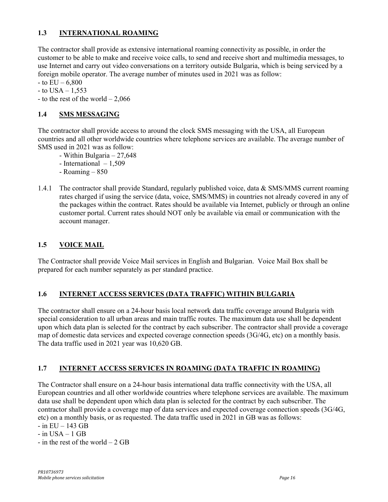# **1.3 INTERNATIONAL ROAMING**

The contractor shall provide as extensive international roaming connectivity as possible, in order the customer to be able to make and receive voice calls, to send and receive short and multimedia messages, to use Internet and carry out video conversations on a territory outside Bulgaria, which is being serviced by a foreign mobile operator. The average number of minutes used in 2021 was as follow:

 $-$  to  $EU - 6,800$ 

- $-$  to USA  $1,553$
- to the rest of the world  $-2.066$

## **1.4 SMS MESSAGING**

The contractor shall provide access to around the clock SMS messaging with the USA, all European countries and all other worldwide countries where telephone services are available. The average number of SMS used in 2021 was as follow:

- Within Bulgaria 27,648
- International 1,509
- Roaming 850
- 1.4.1 The contractor shall provide Standard, regularly published voice, data & SMS/MMS current roaming rates charged if using the service (data, voice, SMS/MMS) in countries not already covered in any of the packages within the contract. Rates should be available via Internet, publicly or through an online customer portal. Current rates should NOT only be available via email or communication with the account manager.

## **1.5 VOICE MAIL**

The Contractor shall provide Voice Mail services in English and Bulgarian. Voice Mail Box shall be prepared for each number separately as per standard practice.

#### **1.6 INTERNET ACCESS SERVICES (DATA TRAFFIC) WITHIN BULGARIA**

The contractor shall ensure on a 24-hour basis local network data traffic coverage around Bulgaria with special consideration to all urban areas and main traffic routes. The maximum data use shall be dependent upon which data plan is selected for the contract by each subscriber. The contractor shall provide a coverage map of domestic data services and expected coverage connection speeds (3G/4G, etc) on a monthly basis. The data traffic used in 2021 year was 10,620 GB.

# **1.7 INTERNET ACCESS SERVICES IN ROAMING (DATA TRAFFIC IN ROAMING)**

The Contractor shall ensure on a 24-hour basis international data traffic connectivity with the USA, all European countries and all other worldwide countries where telephone services are available. The maximum data use shall be dependent upon which data plan is selected for the contract by each subscriber. The contractor shall provide a coverage map of data services and expected coverage connection speeds (3G/4G, etc) on a monthly basis, or as requested. The data traffic used in 2021 in GB was as follows:

- in EU – 143 GB

 $-$  in USA  $-1$  GB

 $-$  in the rest of the world  $-2$  GB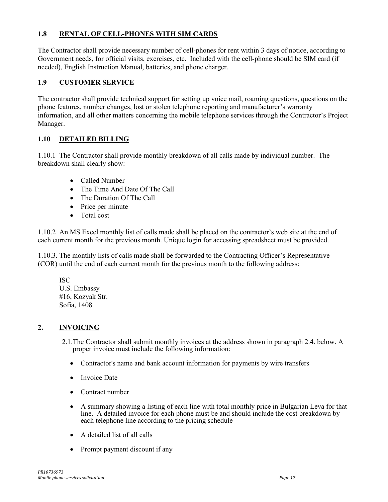## **1.8 RENTAL OF CELL-PHONES WITH SIM CARDS**

The Contractor shall provide necessary number of cell-phones for rent within 3 days of notice, according to Government needs, for official visits, exercises, etc. Included with the cell-phone should be SIM card (if needed), English Instruction Manual, batteries, and phone charger.

## **1.9 CUSTOMER SERVICE**

The contractor shall provide technical support for setting up voice mail, roaming questions, questions on the phone features, number changes, lost or stolen telephone reporting and manufacturer's warranty information, and all other matters concerning the mobile telephone services through the Contractor's Project Manager.

#### **1.10 DETAILED BILLING**

1.10.1 The Contractor shall provide monthly breakdown of all calls made by individual number. The breakdown shall clearly show:

- Called Number
- The Time And Date Of The Call
- The Duration Of The Call
- Price per minute
- Total cost

1.10.2 An MS Excel monthly list of calls made shall be placed on the contractor's web site at the end of each current month for the previous month. Unique login for accessing spreadsheet must be provided.

1.10.3. The monthly lists of calls made shall be forwarded to the Contracting Officer's Representative (COR) until the end of each current month for the previous month to the following address:

ISC U.S. Embassy #16, Kozyak Str. Sofia, 1408

# **2. INVOICING**

2.1.The Contractor shall submit monthly invoices at the address shown in paragraph 2.4. below. A proper invoice must include the following information:

- Contractor's name and bank account information for payments by wire transfers
- Invoice Date
- Contract number
- A summary showing a listing of each line with total monthly price in Bulgarian Leva for that line. A detailed invoice for each phone must be and should include the cost breakdown by each telephone line according to the pricing schedule
- A detailed list of all calls
- Prompt payment discount if any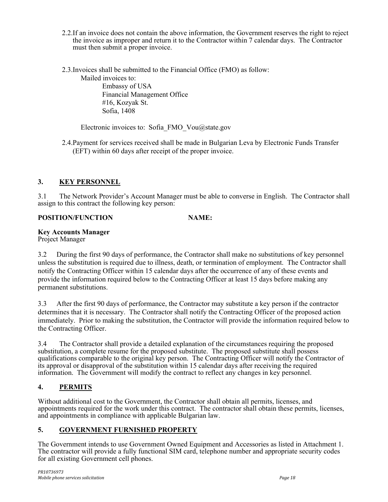2.2.If an invoice does not contain the above information, the Government reserves the right to reject the invoice as improper and return it to the Contractor within 7 calendar days. The Contractor must then submit a proper invoice.

2.3.Invoices shall be submitted to the Financial Office (FMO) as follow: Mailed invoices to: Embassy of USA Financial Management Office #16, Kozyak St. Sofia, 1408

Electronic invoices to: Sofia\_FMO\_Vou@state.gov

2.4.Payment for services received shall be made in Bulgarian Leva by Electronic Funds Transfer (EFT) within 60 days after receipt of the proper invoice.

# **3. KEY PERSONNEL**

3.1 The Network Provider's Account Manager must be able to converse in English.The Contractor shall assign to this contract the following key person:

#### **POSITION/FUNCTION NAME:**

**Key Accounts Manager** 

Project Manager

3.2 During the first 90 days of performance, the Contractor shall make no substitutions of key personnel unless the substitution is required due to illness, death, or termination of employment. The Contractor shall notify the Contracting Officer within 15 calendar days after the occurrence of any of these events and provide the information required below to the Contracting Officer at least 15 days before making any permanent substitutions.

3.3 After the first 90 days of performance, the Contractor may substitute a key person if the contractor determines that it is necessary. The Contractor shall notify the Contracting Officer of the proposed action immediately. Prior to making the substitution, the Contractor will provide the information required below to the Contracting Officer.

3.4 The Contractor shall provide a detailed explanation of the circumstances requiring the proposed substitution, a complete resume for the proposed substitute. The proposed substitute shall possess qualifications comparable to the original key person. The Contracting Officer will notify the Contractor of its approval or disapproval of the substitution within 15 calendar days after receiving the required information. The Government will modify the contract to reflect any changes in key personnel.

# **4. PERMITS**

Without additional cost to the Government, the Contractor shall obtain all permits, licenses, and appointments required for the work under this contract. The contractor shall obtain these permits, licenses, and appointments in compliance with applicable Bulgarian law.

#### **5. GOVERNMENT FURNISHED PROPERTY**

The Government intends to use Government Owned Equipment and Accessories as listed in Attachment 1. The contractor will provide a fully functional SIM card, telephone number and appropriate security codes for all existing Government cell phones.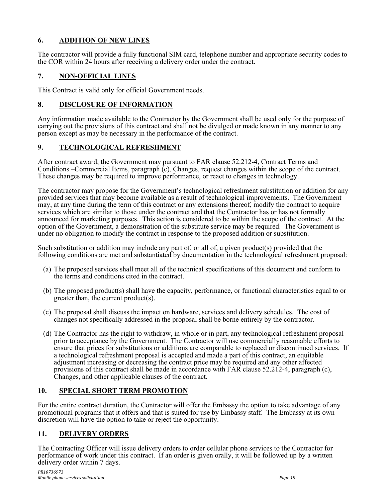## **6. ADDITION OF NEW LINES**

The contractor will provide a fully functional SIM card, telephone number and appropriate security codes to the COR within 24 hours after receiving a delivery order under the contract.

## **7. NON-OFFICIAL LINES**

This Contract is valid only for official Government needs.

## **8. DISCLOSURE OF INFORMATION**

Any information made available to the Contractor by the Government shall be used only for the purpose of carrying out the provisions of this contract and shall not be divulged or made known in any manner to any person except as may be necessary in the performance of the contract.

## **9. TECHNOLOGICAL REFRESHMENT**

After contract award, the Government may pursuant to FAR clause 52.212-4, Contract Terms and Conditions –Commercial Items, paragraph (c), Changes, request changes within the scope of the contract. These changes may be required to improve performance, or react to changes in technology.

The contractor may propose for the Government's technological refreshment substitution or addition for any provided services that may become available as a result of technological improvements. The Government may, at any time during the term of this contract or any extensions thereof, modify the contract to acquire services which are similar to those under the contract and that the Contractor has or has not formally announced for marketing purposes. This action is considered to be within the scope of the contract. At the option of the Government, a demonstration of the substitute service may be required. The Government is under no obligation to modify the contract in response to the proposed addition or substitution.

Such substitution or addition may include any part of, or all of, a given product(s) provided that the following conditions are met and substantiated by documentation in the technological refreshment proposal:

- (a) The proposed services shall meet all of the technical specifications of this document and conform to the terms and conditions cited in the contract.
- (b) The proposed product(s) shall have the capacity, performance, or functional characteristics equal to or greater than, the current product(s).
- (c) The proposal shall discuss the impact on hardware, services and delivery schedules. The cost of changes not specifically addressed in the proposal shall be borne entirely by the contractor.
- (d) The Contractor has the right to withdraw, in whole or in part, any technological refreshment proposal prior to acceptance by the Government. The Contractor will use commercially reasonable efforts to ensure that prices for substitutions or additions are comparable to replaced or discontinued services. If a technological refreshment proposal is accepted and made a part of this contract, an equitable adjustment increasing or decreasing the contract price may be required and any other affected provisions of this contract shall be made in accordance with FAR clause 52.212-4, paragraph (c), Changes, and other applicable clauses of the contract.

# **10. SPECIAL SHORT TERM PROMOTION**

For the entire contract duration, the Contractor will offer the Embassy the option to take advantage of any promotional programs that it offers and that is suited for use by Embassy staff. The Embassy at its own discretion will have the option to take or reject the opportunity.

# **11. DELIVERY ORDERS**

The Contracting Officer will issue delivery orders to order cellular phone services to the Contractor for performance of work under this contract. If an order is given orally, it will be followed up by a written delivery order within 7 days.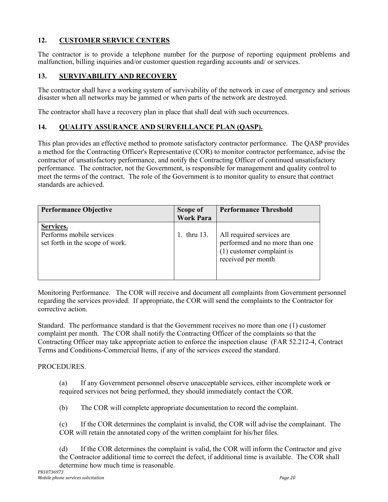## **12. CUSTOMER SERVICE CENTERS**

The contractor is to provide a telephone number for the purpose of reporting equipment problems and malfunction, billing inquiries and/or customer question regarding accounts and/ or services.

## **13. SURVIVABILITY AND RECOVERY**

The contractor shall have a working system of survivability of the network in case of emergency and serious disaster when all networks may be jammed or when parts of the network are destroyed.

The contractor shall have a recovery plan in place that shall deal with such occurrences.

#### **14. QUALITY ASSURANCE AND SURVEILLANCE PLAN (QASP).**

This plan provides an effective method to promote satisfactory contractor performance. The QASP provides a method for the Contracting Officer's Representative (COR) to monitor contractor performance, advise the contractor of unsatisfactory performance, and notify the Contracting Officer of continued unsatisfactory performance. The contractor, not the Government, is responsible for management and quality control to meet the terms of the contract. The role of the Government is to monitor quality to ensure that contract standards are achieved.

| <b>Performance Objective</b>                                             | Scope of<br><b>Work Para</b> | <b>Performance Threshold</b>                                                                                   |
|--------------------------------------------------------------------------|------------------------------|----------------------------------------------------------------------------------------------------------------|
| Services.<br>Performs mobile services<br>set forth in the scope of work. | 1. thru 13.                  | All required services are<br>performed and no more than one<br>(1) customer complaint is<br>received per month |

Monitoring Performance. The COR will receive and document all complaints from Government personnel regarding the services provided. If appropriate, the COR will send the complaints to the Contractor for corrective action.

Standard. The performance standard is that the Government receives no more than one (1) customer complaint per month. The COR shall notify the Contracting Officer of the complaints so that the Contracting Officer may take appropriate action to enforce the inspection clause (FAR 52.212-4, Contract Terms and Conditions-Commercial Items, if any of the services exceed the standard.

#### PROCEDURES.

(a) If any Government personnel observe unacceptable services, either incomplete work or required services not being performed, they should immediately contact the COR.

(b) The COR will complete appropriate documentation to record the complaint.

(c) If the COR determines the complaint is invalid, the COR will advise the complainant. The COR will retain the annotated copy of the written complaint for his/her files.

(d) If the COR determines the complaint is valid, the COR will inform the Contractor and give the Contractor additional time to correct the defect, if additional time is available. The COR shall determine how much time is reasonable.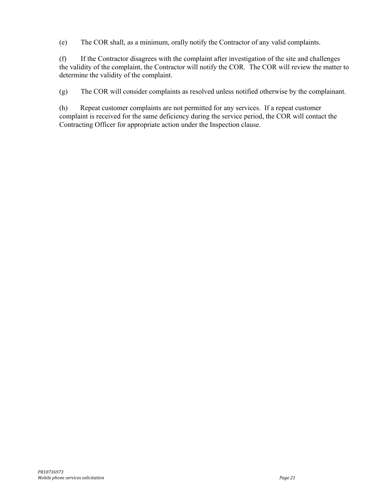(e) The COR shall, as a minimum, orally notify the Contractor of any valid complaints.

(f) If the Contractor disagrees with the complaint after investigation of the site and challenges the validity of the complaint, the Contractor will notify the COR. The COR will review the matter to determine the validity of the complaint.

(g) The COR will consider complaints as resolved unless notified otherwise by the complainant.

 (h) Repeat customer complaints are not permitted for any services. If a repeat customer complaint is received for the same deficiency during the service period, the COR will contact the Contracting Officer for appropriate action under the Inspection clause.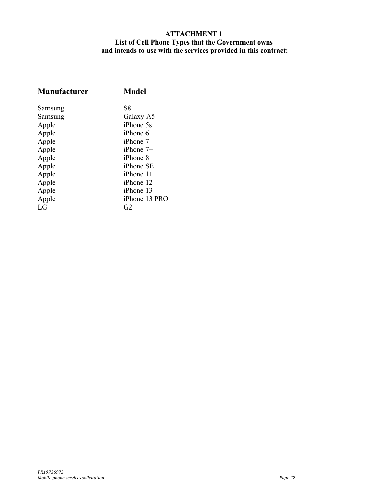#### **ATTACHMENT 1 List of Cell Phone Types that the Government owns and intends to use with the services provided in this contract:**

| <b>Manufacturer</b> | <b>Model</b>     |
|---------------------|------------------|
| Samsung             | S8               |
| Samsung             | Galaxy A5        |
| Apple               | <i>iPhone</i> 5s |
| Apple               | <i>iPhone 6</i>  |
| Apple               | <i>iPhone 7</i>  |
| Apple               | $iPhone 7+$      |
| Apple               | <i>iPhone 8</i>  |
| Apple               | <i>iPhone SE</i> |
| Apple               | <i>iPhone</i> 11 |
| Apple               | iPhone 12        |
| Apple               | iPhone 13        |
| Apple               | iPhone 13 PRO    |
| LG                  | G2               |
|                     |                  |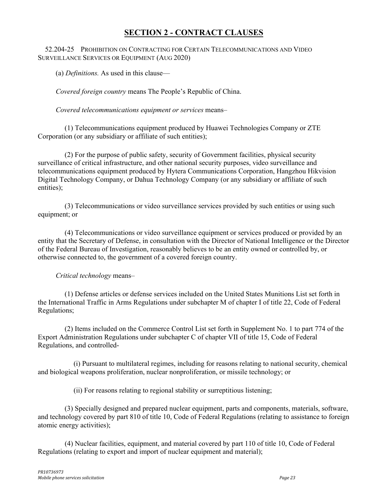# **SECTION 2 - CONTRACT CLAUSES**

52.204-25 PROHIBITION ON CONTRACTING FOR CERTAIN TELECOMMUNICATIONS AND VIDEO SURVEILLANCE SERVICES OR EQUIPMENT (AUG 2020)

(a) *Definitions.* As used in this clause—

*Covered foreign country* means The People's Republic of China.

*Covered telecommunications equipment or services* means–

 (1) Telecommunications equipment produced by Huawei Technologies Company or ZTE Corporation (or any subsidiary or affiliate of such entities);

 (2) For the purpose of public safety, security of Government facilities, physical security surveillance of critical infrastructure, and other national security purposes, video surveillance and telecommunications equipment produced by Hytera Communications Corporation, Hangzhou Hikvision Digital Technology Company, or Dahua Technology Company (or any subsidiary or affiliate of such entities);

 (3) Telecommunications or video surveillance services provided by such entities or using such equipment; or

 (4) Telecommunications or video surveillance equipment or services produced or provided by an entity that the Secretary of Defense, in consultation with the Director of National Intelligence or the Director of the Federal Bureau of Investigation, reasonably believes to be an entity owned or controlled by, or otherwise connected to, the government of a covered foreign country.

*Critical technology* means–

 (1) Defense articles or defense services included on the United States Munitions List set forth in the International Traffic in Arms Regulations under subchapter M of chapter I of title 22, Code of Federal Regulations;

 (2) Items included on the Commerce Control List set forth in Supplement No. 1 to part 774 of the Export Administration Regulations under subchapter C of chapter VII of title 15, Code of Federal Regulations, and controlled-

 (i) Pursuant to multilateral regimes, including for reasons relating to national security, chemical and biological weapons proliferation, nuclear nonproliferation, or missile technology; or

(ii) For reasons relating to regional stability or surreptitious listening;

 (3) Specially designed and prepared nuclear equipment, parts and components, materials, software, and technology covered by part 810 of title 10, Code of Federal Regulations (relating to assistance to foreign atomic energy activities);

 (4) Nuclear facilities, equipment, and material covered by part 110 of title 10, Code of Federal Regulations (relating to export and import of nuclear equipment and material);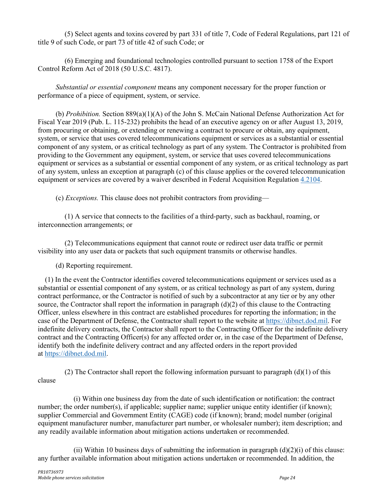(5) Select agents and toxins covered by part 331 of title 7, Code of Federal Regulations, part 121 of title 9 of such Code, or part 73 of title 42 of such Code; or

 (6) Emerging and foundational technologies controlled pursuant to section 1758 of the Export Control Reform Act of 2018 (50 U.S.C. 4817).

 *Substantial or essential component* means any component necessary for the proper function or performance of a piece of equipment, system, or service.

 (b) *Prohibition.* Section 889(a)(1)(A) of the John S. McCain National Defense Authorization Act for Fiscal Year 2019 (Pub. L. 115-232) prohibits the head of an executive agency on or after August 13, 2019, from procuring or obtaining, or extending or renewing a contract to procure or obtain, any equipment, system, or service that uses covered telecommunications equipment or services as a substantial or essential component of any system, or as critical technology as part of any system. The Contractor is prohibited from providing to the Government any equipment, system, or service that uses covered telecommunications equipment or services as a substantial or essential component of any system, or as critical technology as part of any system, unless an exception at paragraph (c) of this clause applies or the covered telecommunication equipment or services are covered by a waiver described in Federal Acquisition Regulation 4.2104.

(c) *Exceptions.* This clause does not prohibit contractors from providing—

 (1) A service that connects to the facilities of a third-party, such as backhaul, roaming, or interconnection arrangements; or

 (2) Telecommunications equipment that cannot route or redirect user data traffic or permit visibility into any user data or packets that such equipment transmits or otherwise handles.

(d) Reporting requirement.

(1) In the event the Contractor identifies covered telecommunications equipment or services used as a substantial or essential component of any system, or as critical technology as part of any system, during contract performance, or the Contractor is notified of such by a subcontractor at any tier or by any other source, the Contractor shall report the information in paragraph  $(d)(2)$  of this clause to the Contracting Officer, unless elsewhere in this contract are established procedures for reporting the information; in the case of the Department of Defense, the Contractor shall report to the website at https://dibnet.dod.mil. For indefinite delivery contracts, the Contractor shall report to the Contracting Officer for the indefinite delivery contract and the Contracting Officer(s) for any affected order or, in the case of the Department of Defense, identify both the indefinite delivery contract and any affected orders in the report provided at https://dibnet.dod.mil.

(2) The Contractor shall report the following information pursuant to paragraph  $(d)(1)$  of this clause

 (i) Within one business day from the date of such identification or notification: the contract number; the order number(s), if applicable; supplier name; supplier unique entity identifier (if known); supplier Commercial and Government Entity (CAGE) code (if known); brand; model number (original equipment manufacturer number, manufacturer part number, or wholesaler number); item description; and any readily available information about mitigation actions undertaken or recommended.

(ii) Within 10 business days of submitting the information in paragraph  $(d)(2)(i)$  of this clause: any further available information about mitigation actions undertaken or recommended. In addition, the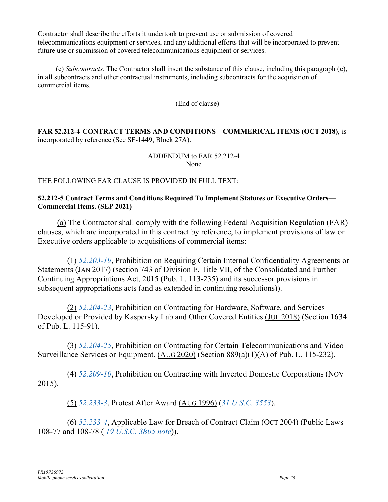Contractor shall describe the efforts it undertook to prevent use or submission of covered telecommunications equipment or services, and any additional efforts that will be incorporated to prevent future use or submission of covered telecommunications equipment or services.

 (e) *Subcontracts.* The Contractor shall insert the substance of this clause, including this paragraph (e), in all subcontracts and other contractual instruments, including subcontracts for the acquisition of commercial items.

(End of clause)

**FAR 52.212-4 CONTRACT TERMS AND CONDITIONS – COMMERICAL ITEMS (OCT 2018)**, is incorporated by reference (See SF-1449, Block 27A).

#### ADDENDUM to FAR 52.212-4 None

## THE FOLLOWING FAR CLAUSE IS PROVIDED IN FULL TEXT:

## **52.212-5 Contract Terms and Conditions Required To Implement Statutes or Executive Orders— Commercial Items. (SEP 2021)**

 (a) The Contractor shall comply with the following Federal Acquisition Regulation (FAR) clauses, which are incorporated in this contract by reference, to implement provisions of law or Executive orders applicable to acquisitions of commercial items:

 (1) *52.203-19*, Prohibition on Requiring Certain Internal Confidentiality Agreements or Statements (JAN 2017) (section 743 of Division E, Title VII, of the Consolidated and Further Continuing Appropriations Act, 2015 (Pub. L. 113-235) and its successor provisions in subsequent appropriations acts (and as extended in continuing resolutions)).

 (2) *52.204-23*, Prohibition on Contracting for Hardware, Software, and Services Developed or Provided by Kaspersky Lab and Other Covered Entities (JUL 2018) (Section 1634 of Pub. L. 115-91).

 (3) *52.204-25*, Prohibition on Contracting for Certain Telecommunications and Video Surveillance Services or Equipment. (AUG 2020) (Section 889(a)(1)(A) of Pub. L. 115-232).

 (4) *52.209-10*, Prohibition on Contracting with Inverted Domestic Corporations (NOV 2015).

(5) *52.233-3*, Protest After Award (AUG 1996) (*31 U.S.C. 3553*).

 (6) *52.233-4*, Applicable Law for Breach of Contract Claim (OCT 2004) (Public Laws 108-77 and 108-78 ( *19 U.S.C. 3805 note*)).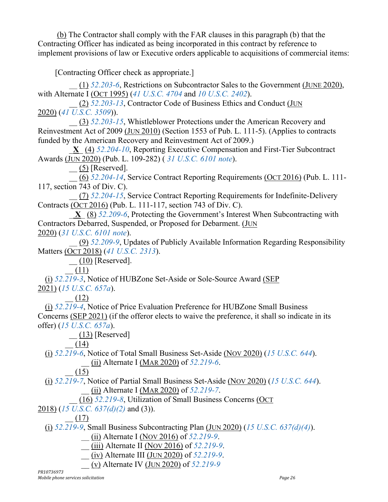(b) The Contractor shall comply with the FAR clauses in this paragraph (b) that the Contracting Officer has indicated as being incorporated in this contract by reference to implement provisions of law or Executive orders applicable to acquisitions of commercial items:

[Contracting Officer check as appropriate.]

 \_\_ (1) *52.203-6*, Restrictions on Subcontractor Sales to the Government (JUNE 2020), with Alternate I (OCT 1995) (*41 U.S.C. 4704* and *10 U.S.C. 2402*).

 \_\_ (2) *52.203-13*, Contractor Code of Business Ethics and Conduct (JUN 2020) (*41 U.S.C. 3509*)).

 \_\_ (3) *52.203-15*, Whistleblower Protections under the American Recovery and Reinvestment Act of 2009 (JUN 2010) (Section 1553 of Pub. L. 111-5). (Applies to contracts funded by the American Recovery and Reinvestment Act of 2009.)

 \_**X**\_ (4) *52.204-10*, Reporting Executive Compensation and First-Tier Subcontract Awards (JUN 2020) (Pub. L. 109-282) ( *31 U.S.C. 6101 note*).

 $(5)$  [Reserved].

 \_\_ (6) *52.204-14*, Service Contract Reporting Requirements (OCT 2016) (Pub. L. 111- 117, section 743 of Div. C).

 \_\_ (7) *52.204-15*, Service Contract Reporting Requirements for Indefinite-Delivery Contracts (OCT 2016) (Pub. L. 111-117, section 743 of Div. C).

 \_ **X**\_ (8) *52.209-6*, Protecting the Government's Interest When Subcontracting with Contractors Debarred, Suspended, or Proposed for Debarment. (JUN 2020) (*31 U.S.C. 6101 note*).

 \_\_ (9) *52.209-9*, Updates of Publicly Available Information Regarding Responsibility Matters (OCT 2018) (*41 U.S.C. 2313*).

 $(10)$  [Reserved].

 $(11)$ 

(i) *52.219-3*, Notice of HUBZone Set-Aside or Sole-Source Award (SEP 2021) (*15 U.S.C. 657a*).

 $(12)$ 

(i) *52.219-4*, Notice of Price Evaluation Preference for HUBZone Small Business Concerns (SEP 2021) (if the offeror elects to waive the preference, it shall so indicate in its offer) (*15 U.S.C. 657a*).

 $(13)$  [Reserved]

 $(14)$ 

(i) *52.219-6*, Notice of Total Small Business Set-Aside (NOV 2020) (*15 U.S.C. 644*). \_\_ (ii) Alternate I (MAR 2020) of *52.219-6*.

 $(15)$ 

(i) *52.219-7*, Notice of Partial Small Business Set-Aside (NOV 2020) (*15 U.S.C. 644*). \_\_ (ii) Alternate I (MAR 2020) of *52.219-7*.

\_\_ (16) *52.219-8*, Utilization of Small Business Concerns (OCT

2018) (*15 U.S.C. 637(d)(2)* and (3)).

 $(17)$ 

(i) *52.219-9*, Small Business Subcontracting Plan (JUN 2020) (*15 U.S.C. 637(d)(4)*).

- \_\_ (ii) Alternate I (NOV 2016) of *52.219-9*.
- \_\_ (iii) Alternate II (NOV 2016) of *52.219-9*. \_\_ (iv) Alternate III (JUN 2020) of *52.219-9*.
- \_\_ (v) Alternate IV (JUN 2020) of *52.219-9*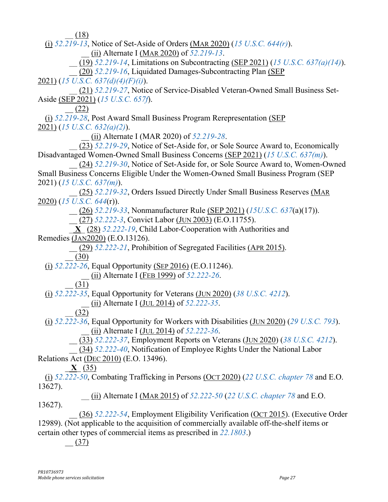$(18)$ 

(i) *52.219-13*, Notice of Set-Aside of Orders (MAR 2020) (*15 U.S.C. 644(r)*).

\_\_ (ii) Alternate I (MAR 2020) of *52.219-13*.

\_\_ (19) *52.219-14*, Limitations on Subcontracting (SEP 2021) (*15 U.S.C. 637(a)(14)*).

\_\_ (20) *52.219-16*, Liquidated Damages-Subcontracting Plan (SEP

2021) (*15 U.S.C. 637(d)(4)(F)(i)*).

(21) *52.219-27*, Notice of Service-Disabled Veteran-Owned Small Business Set-Aside (SEP 2021) (*15 U.S.C. 657f*).

 $(22)$ 

(i) *52.219-28*, Post Award Small Business Program Rerepresentation (SEP 2021) (*15 U.S.C. 632(a)(2)*).

\_\_ (ii) Alternate I (MAR 2020) of *52.219-28*.

 \_\_ (23) *52.219-29*, Notice of Set-Aside for, or Sole Source Award to, Economically Disadvantaged Women-Owned Small Business Concerns (SEP 2021) (*15 U.S.C. 637(m)*).

 \_\_ (24) *52.219-30*, Notice of Set-Aside for, or Sole Source Award to, Women-Owned Small Business Concerns Eligible Under the Women-Owned Small Business Program (SEP 2021) (*15 U.S.C. 637(m)*).

 \_\_ (25) *52.219-32*, Orders Issued Directly Under Small Business Reserves (MAR 2020) (*15 U.S.C. 644*(r)).

\_\_ (26) *52.219-33*, Nonmanufacturer Rule (SEP 2021) (*15U.S.C. 637*(a)(17)).

\_\_ (27) *52.222-3*, Convict Labor (JUN 2003) (E.O.11755).

 \_ **X**\_ (28) *52.222-19*, Child Labor-Cooperation with Authorities and Remedies (JAN2020) (E.O.13126).

\_\_ (29) *52.222-21*, Prohibition of Segregated Facilities (APR 2015).

 $(30)$ 

(i) *52.222-26*, Equal Opportunity (SEP 2016) (E.O.11246). \_\_ (ii) Alternate I (FEB 1999) of *52.222-26*.

 $(31)$ 

(i) *52.222-35*, Equal Opportunity for Veterans (JUN 2020) (*38 U.S.C. 4212*). \_\_ (ii) Alternate I (JUL 2014) of *52.222-35*.

 $(32)$ 

(i) *52.222-36*, Equal Opportunity for Workers with Disabilities (JUN 2020) (*29 U.S.C. 793*). \_\_ (ii) Alternate I (JUL 2014) of *52.222-36*.

\_\_ (33) *52.222-37*, Employment Reports on Veterans (JUN 2020) (*38 U.S.C. 4212*).

 \_\_ (34) *52.222-40*, Notification of Employee Rights Under the National Labor Relations Act (DEC 2010) (E.O. 13496).

 $X(35)$ 

(i) *52.222-50*, Combating Trafficking in Persons (OCT 2020) (*22 U.S.C. chapter 78* and E.O. 13627).

\_\_ (ii) Alternate I (MAR 2015) of *52.222-50* (*22 U.S.C. chapter 78* and E.O.

13627).

 \_\_ (36) *52.222-54*, Employment Eligibility Verification (OCT 2015). (Executive Order 12989). (Not applicable to the acquisition of commercially available off-the-shelf items or certain other types of commercial items as prescribed in *22.1803*.)

\_\_ (37)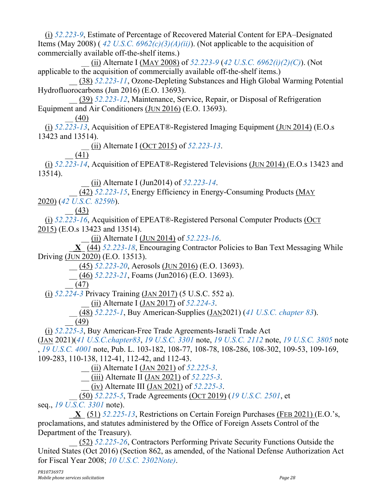(i) *52.223-9*, Estimate of Percentage of Recovered Material Content for EPA–Designated Items (May 2008) ( *42 U.S.C. 6962(c)(3)(A)(ii)*). (Not applicable to the acquisition of commercially available off-the-shelf items.) \_\_ (ii) Alternate I (MAY 2008) of *52.223-9* (*42 U.S.C. 6962(i)(2)(C)*). (Not applicable to the acquisition of commercially available off-the-shelf items.)

 \_\_ (38) *52.223-11*, Ozone-Depleting Substances and High Global Warming Potential Hydrofluorocarbons (Jun 2016) (E.O. 13693).

 \_\_ (39) *52.223-12*, Maintenance, Service, Repair, or Disposal of Refrigeration Equipment and Air Conditioners (JUN 2016) (E.O. 13693).

 $(40)$ 

(i) *52.223-13*, Acquisition of EPEAT®-Registered Imaging Equipment (JUN 2014) (E.O.s 13423 and 13514).

\_\_ (ii) Alternate I (OCT 2015) of *52.223-13*.

 $(41)$ 

(i) *52.223-14*, Acquisition of EPEAT®-Registered Televisions (JUN 2014) (E.O.s 13423 and 13514).

\_\_ (ii) Alternate I (Jun2014) of *52.223-14*.

 \_\_ (42) *52.223-15*, Energy Efficiency in Energy-Consuming Products (MAY 2020) (*42 U.S.C. 8259b*).

 $(43)$ 

(i) *52.223-16*, Acquisition of EPEAT®-Registered Personal Computer Products (OCT 2015) (E.O.s 13423 and 13514).

\_\_ (ii) Alternate I (JUN 2014) of *52.223-16*.

 \_ **X**\_ (44) *52.223-18*, Encouraging Contractor Policies to Ban Text Messaging While Driving (JUN 2020) (E.O. 13513).

\_\_ (45) *52.223-20*, Aerosols (JUN 2016) (E.O. 13693).

\_\_ (46) *52.223-21*, Foams (Jun2016) (E.O. 13693).

 $(47)$ 

(i) *52.224-3* Privacy Training (JAN 2017) (5 U.S.C. 552 a).

\_\_ (ii) Alternate I (JAN 2017) of *52.224-3*.

 \_\_ (48) *52.225-1*, Buy American-Supplies (JAN2021) (*41 U.S.C. chapter 83*).  $(49)$ 

(i) *52.225-3*, Buy American-Free Trade Agreements-Israeli Trade Act

(JAN 2021)(*41 U.S.C.chapter83*, *19 U.S.C. 3301* note, *19 U.S.C. 2112* note, *19 U.S.C. 3805* note , *19 U.S.C. 4001* note, Pub. L. 103-182, 108-77, 108-78, 108-286, 108-302, 109-53, 109-169, 109-283, 110-138, 112-41, 112-42, and 112-43.

\_\_ (ii) Alternate I (JAN 2021) of *52.225-3*.

\_\_ (iii) Alternate II (JAN 2021) of *52.225-3*.

\_\_ (iv) Alternate III (JAN 2021) of *52.225-3*.

\_\_ (50) *52.225-5*, Trade Agreements (OCT 2019) (*19 U.S.C. 2501*, et

seq., *19 U.S.C. 3301* note).

 \_ **X**\_ (51) *52.225-13*, Restrictions on Certain Foreign Purchases (FEB 2021) (E.O.'s, proclamations, and statutes administered by the Office of Foreign Assets Control of the Department of the Treasury).

 \_\_ (52) *52.225-26*, Contractors Performing Private Security Functions Outside the United States (Oct 2016) (Section 862, as amended, of the National Defense Authorization Act for Fiscal Year 2008; *10 U.S.C. 2302Note)*.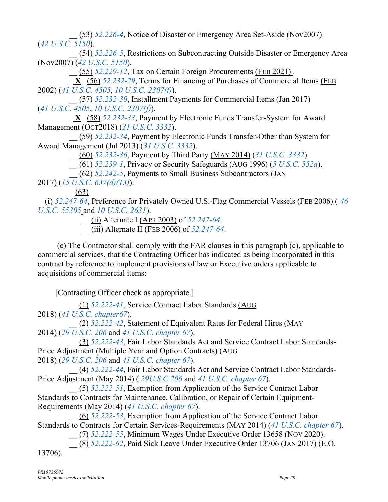\_\_ (53) *52.226-4*, Notice of Disaster or Emergency Area Set-Aside (Nov2007) (*42 U.S.C. 5150*).

 \_\_ (54) *52.226-5*, Restrictions on Subcontracting Outside Disaster or Emergency Area (Nov2007) (*42 U.S.C. 5150*).

\_\_ (55) *52.229-12*, Tax on Certain Foreign Procurements (FEB 2021) .

 \_ **X**\_ (56) *52.232-29*, Terms for Financing of Purchases of Commercial Items (FEB 2002) (*41 U.S.C. 4505*, *10 U.S.C. 2307(f)*).

 \_\_ (57) *52.232-30*, Installment Payments for Commercial Items (Jan 2017) (*41 U.S.C. 4505*, *10 U.S.C. 2307(f)*).

 \_ **X**\_ (58) *52.232-33*, Payment by Electronic Funds Transfer-System for Award Management (OCT2018) (*31 U.S.C. 3332*).

 \_\_ (59) *52.232-34*, Payment by Electronic Funds Transfer-Other than System for Award Management (Jul 2013) (*31 U.S.C. 3332*).

\_\_ (60) *52.232-36*, Payment by Third Party (MAY 2014) (*31 U.S.C. 3332*).

\_\_ (61) *52.239-1*, Privacy or Security Safeguards (AUG 1996) (*5 U.S.C. 552a*).

\_\_ (62) *52.242-5*, Payments to Small Business Subcontractors (JAN

2017) (*15 U.S.C. 637(d)(13)*).

\_\_ (63)

(i) *52.247-64*, Preference for Privately Owned U.S.-Flag Commercial Vessels (FEB 2006) ( *46 U.S.C. 55305* and *10 U.S.C. 2631*).

\_\_ (ii) Alternate I (APR 2003) of *52.247-64*.

\_\_ (iii) Alternate II (FEB 2006) of *52.247-64*.

 (c) The Contractor shall comply with the FAR clauses in this paragraph (c), applicable to commercial services, that the Contracting Officer has indicated as being incorporated in this contract by reference to implement provisions of law or Executive orders applicable to acquisitions of commercial items:

[Contracting Officer check as appropriate.]

\_\_ (1) *52.222-41*, Service Contract Labor Standards (AUG

2018) (*41 U.S.C. chapter67*).

(2) *52.222-42*, Statement of Equivalent Rates for Federal Hires (MAY 2014) (*29 U.S.C. 206* and *41 U.S.C. chapter 67*).

 \_\_ (3) *52.222-43*, Fair Labor Standards Act and Service Contract Labor Standards-Price Adjustment (Multiple Year and Option Contracts) (AUG

2018) (*29 U.S.C. 206* and *41 U.S.C. chapter 67*).

 \_\_ (4) *52.222-44*, Fair Labor Standards Act and Service Contract Labor Standards-Price Adjustment (May 2014) ( *29U.S.C.206* and *41 U.S.C. chapter 67*).

 \_\_ (5) *52.222-51*, Exemption from Application of the Service Contract Labor Standards to Contracts for Maintenance, Calibration, or Repair of Certain Equipment-Requirements (May 2014) (*41 U.S.C. chapter 67*).

 \_\_ (6) *52.222-53*, Exemption from Application of the Service Contract Labor Standards to Contracts for Certain Services-Requirements (MAY 2014) (*41 U.S.C. chapter 67*).

\_\_ (7) *52.222-55*, Minimum Wages Under Executive Order 13658 (NOV 2020).

\_\_ (8) *52.222-62*, Paid Sick Leave Under Executive Order 13706 (JAN 2017) (E.O.

13706).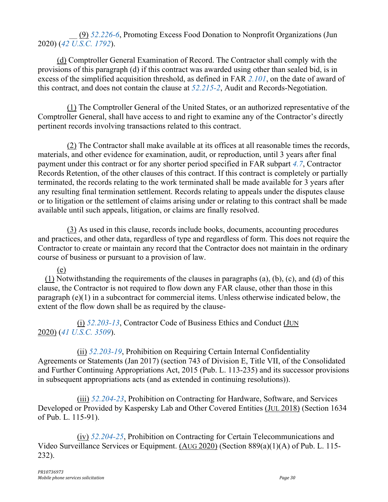\_\_ (9) *52.226-6*, Promoting Excess Food Donation to Nonprofit Organizations (Jun 2020) (*42 U.S.C. 1792*).

 (d) Comptroller General Examination of Record. The Contractor shall comply with the provisions of this paragraph (d) if this contract was awarded using other than sealed bid, is in excess of the simplified acquisition threshold, as defined in FAR *2.101*, on the date of award of this contract, and does not contain the clause at *52.215-2*, Audit and Records-Negotiation.

 (1) The Comptroller General of the United States, or an authorized representative of the Comptroller General, shall have access to and right to examine any of the Contractor's directly pertinent records involving transactions related to this contract.

 (2) The Contractor shall make available at its offices at all reasonable times the records, materials, and other evidence for examination, audit, or reproduction, until 3 years after final payment under this contract or for any shorter period specified in FAR subpart *4.7*, Contractor Records Retention, of the other clauses of this contract. If this contract is completely or partially terminated, the records relating to the work terminated shall be made available for 3 years after any resulting final termination settlement. Records relating to appeals under the disputes clause or to litigation or the settlement of claims arising under or relating to this contract shall be made available until such appeals, litigation, or claims are finally resolved.

 (3) As used in this clause, records include books, documents, accounting procedures and practices, and other data, regardless of type and regardless of form. This does not require the Contractor to create or maintain any record that the Contractor does not maintain in the ordinary course of business or pursuant to a provision of law.

(e)

(1) Notwithstanding the requirements of the clauses in paragraphs (a), (b), (c), and (d) of this clause, the Contractor is not required to flow down any FAR clause, other than those in this paragraph (e)(1) in a subcontract for commercial items. Unless otherwise indicated below, the extent of the flow down shall be as required by the clause-

 (i) *52.203-13*, Contractor Code of Business Ethics and Conduct (JUN 2020) (*41 U.S.C. 3509*).

 (ii) *52.203-19*, Prohibition on Requiring Certain Internal Confidentiality Agreements or Statements (Jan 2017) (section 743 of Division E, Title VII, of the Consolidated and Further Continuing Appropriations Act, 2015 (Pub. L. 113-235) and its successor provisions in subsequent appropriations acts (and as extended in continuing resolutions)).

 (iii) *52.204-23*, Prohibition on Contracting for Hardware, Software, and Services Developed or Provided by Kaspersky Lab and Other Covered Entities (JUL 2018) (Section 1634 of Pub. L. 115-91).

 (iv) *52.204-25*, Prohibition on Contracting for Certain Telecommunications and Video Surveillance Services or Equipment. (AUG 2020) (Section 889(a)(1)(A) of Pub. L. 115- 232).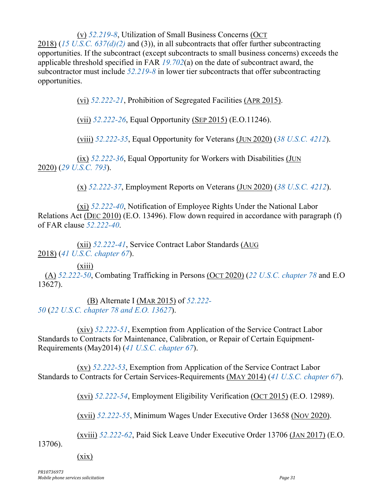(v) *52.219-8*, Utilization of Small Business Concerns (OCT 2018) (*15 U.S.C. 637(d)(2)* and (3)), in all subcontracts that offer further subcontracting opportunities. If the subcontract (except subcontracts to small business concerns) exceeds the applicable threshold specified in FAR *19.702*(a) on the date of subcontract award, the subcontractor must include *52.219-8* in lower tier subcontracts that offer subcontracting opportunities.

(vi) *52.222-21*, Prohibition of Segregated Facilities (APR 2015).

(vii) *52.222-26*, Equal Opportunity (SEP 2015) (E.O.11246).

(viii) *52.222-35*, Equal Opportunity for Veterans (JUN 2020) (*38 U.S.C. 4212*).

 (ix) *52.222-36*, Equal Opportunity for Workers with Disabilities (JUN 2020) (*29 U.S.C. 793*).

(x) *52.222-37*, Employment Reports on Veterans (JUN 2020) (*38 U.S.C. 4212*).

 (xi) *52.222-40*, Notification of Employee Rights Under the National Labor Relations Act (DEC 2010) (E.O. 13496). Flow down required in accordance with paragraph (f) of FAR clause *52.222-40*.

 (xii) *52.222-41*, Service Contract Labor Standards (AUG 2018) (*41 U.S.C. chapter 67*).

 $(xiii)$ 

(A) *52.222-50*, Combating Trafficking in Persons (OCT 2020) (*22 U.S.C. chapter 78* and E.O 13627).

 (B) Alternate I (MAR 2015) of *52.222- 50* (*22 U.S.C. chapter 78 and E.O. 13627*).

 (xiv) *52.222-51*, Exemption from Application of the Service Contract Labor Standards to Contracts for Maintenance, Calibration, or Repair of Certain Equipment-Requirements (May2014) (*41 U.S.C. chapter 67*).

 (xv) *52.222-53*, Exemption from Application of the Service Contract Labor Standards to Contracts for Certain Services-Requirements (MAY 2014) (*41 U.S.C. chapter 67*).

(xvi) *52.222-54*, Employment Eligibility Verification (OCT 2015) (E.O. 12989).

(xvii) *52.222-55*, Minimum Wages Under Executive Order 13658 (NOV 2020).

(xviii) *52.222-62*, Paid Sick Leave Under Executive Order 13706 (JAN 2017) (E.O.

13706).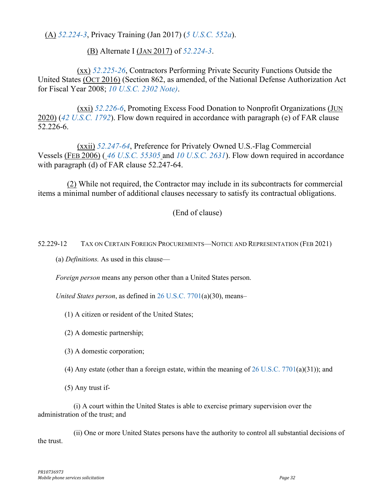(A) *52.224-3*, Privacy Training (Jan 2017) (*5 U.S.C. 552a*).

(B) Alternate I (JAN 2017) of *52.224-3*.

 (xx) *52.225-26*, Contractors Performing Private Security Functions Outside the United States (OCT 2016) (Section 862, as amended, of the National Defense Authorization Act for Fiscal Year 2008; *10 U.S.C. 2302 Note)*.

 (xxi) *52.226-6*, Promoting Excess Food Donation to Nonprofit Organizations (JUN 2020) (*42 U.S.C. 1792*). Flow down required in accordance with paragraph (e) of FAR clause 52.226-6.

 (xxii) *52.247-64*, Preference for Privately Owned U.S.-Flag Commercial Vessels (FEB 2006) ( *46 U.S.C. 55305* and *10 U.S.C. 2631*). Flow down required in accordance with paragraph (d) of FAR clause 52.247-64.

 (2) While not required, the Contractor may include in its subcontracts for commercial items a minimal number of additional clauses necessary to satisfy its contractual obligations.

# (End of clause)

52.229-12 TAX ON CERTAIN FOREIGN PROCUREMENTS—NOTICE AND REPRESENTATION (FEB 2021)

(a) *Definitions.* As used in this clause—

*Foreign person* means any person other than a United States person.

*United States person*, as defined in 26 U.S.C. 7701(a)(30), means–

- (1) A citizen or resident of the United States;
- (2) A domestic partnership;
- (3) A domestic corporation;
- (4) Any estate (other than a foreign estate, within the meaning of  $26$  U.S.C. 7701(a)(31)); and

(5) Any trust if-

 (i) A court within the United States is able to exercise primary supervision over the administration of the trust; and

 (ii) One or more United States persons have the authority to control all substantial decisions of the trust.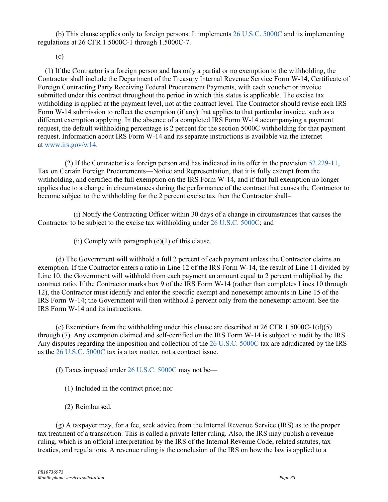(b) This clause applies only to foreign persons. It implements 26 U.S.C. 5000C and its implementing regulations at 26 CFR 1.5000C-1 through 1.5000C-7.

(c)

(1) If the Contractor is a foreign person and has only a partial or no exemption to the withholding, the Contractor shall include the Department of the Treasury Internal Revenue Service Form W-14, Certificate of Foreign Contracting Party Receiving Federal Procurement Payments, with each voucher or invoice submitted under this contract throughout the period in which this status is applicable. The excise tax withholding is applied at the payment level, not at the contract level. The Contractor should revise each IRS Form W-14 submission to reflect the exemption (if any) that applies to that particular invoice, such as a different exemption applying. In the absence of a completed IRS Form W-14 accompanying a payment request, the default withholding percentage is 2 percent for the section 5000C withholding for that payment request. Information about IRS Form W-14 and its separate instructions is available via the internet at www.irs.gov/w14.

 (2) If the Contractor is a foreign person and has indicated in its offer in the provision 52.229-11, Tax on Certain Foreign Procurements—Notice and Representation, that it is fully exempt from the withholding, and certified the full exemption on the IRS Form W-14, and if that full exemption no longer applies due to a change in circumstances during the performance of the contract that causes the Contractor to become subject to the withholding for the 2 percent excise tax then the Contractor shall–

 (i) Notify the Contracting Officer within 30 days of a change in circumstances that causes the Contractor to be subject to the excise tax withholding under 26 U.S.C. 5000C; and

(ii) Comply with paragraph  $(c)(1)$  of this clause.

 (d) The Government will withhold a full 2 percent of each payment unless the Contractor claims an exemption. If the Contractor enters a ratio in Line 12 of the IRS Form W-14, the result of Line 11 divided by Line 10, the Government will withhold from each payment an amount equal to 2 percent multiplied by the contract ratio. If the Contractor marks box 9 of the IRS Form W-14 (rather than completes Lines 10 through 12), the Contractor must identify and enter the specific exempt and nonexempt amounts in Line 15 of the IRS Form W-14; the Government will then withhold 2 percent only from the nonexempt amount. See the IRS Form W-14 and its instructions.

(e) Exemptions from the withholding under this clause are described at  $26$  CFR 1.5000C-1(d)(5) through (7). Any exemption claimed and self-certified on the IRS Form W-14 is subject to audit by the IRS. Any disputes regarding the imposition and collection of the 26 U.S.C. 5000C tax are adjudicated by the IRS as the 26 U.S.C. 5000C tax is a tax matter, not a contract issue.

(f) Taxes imposed under 26 U.S.C. 5000C may not be—

- (1) Included in the contract price; nor
- (2) Reimbursed.

 (g) A taxpayer may, for a fee, seek advice from the Internal Revenue Service (IRS) as to the proper tax treatment of a transaction. This is called a private letter ruling. Also, the IRS may publish a revenue ruling, which is an official interpretation by the IRS of the Internal Revenue Code, related statutes, tax treaties, and regulations. A revenue ruling is the conclusion of the IRS on how the law is applied to a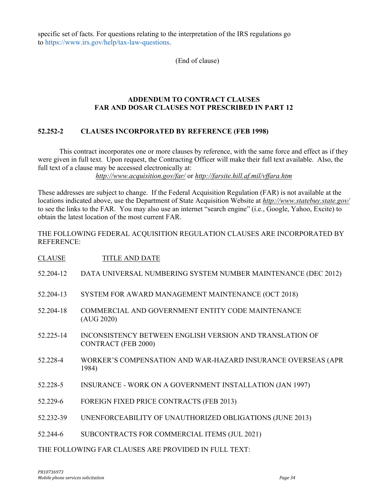specific set of facts. For questions relating to the interpretation of the IRS regulations go to https://www.irs.gov/help/tax-law-questions.

(End of clause)

## **ADDENDUM TO CONTRACT CLAUSES FAR AND DOSAR CLAUSES NOT PRESCRIBED IN PART 12**

#### **52.252-2 CLAUSES INCORPORATED BY REFERENCE (FEB 1998)**

 This contract incorporates one or more clauses by reference, with the same force and effect as if they were given in full text. Upon request, the Contracting Officer will make their full text available. Also, the full text of a clause may be accessed electronically at:

*http://www.acquisition.gov/far/* or *http://farsite.hill.af.mil/vffara.htm*

These addresses are subject to change. If the Federal Acquisition Regulation (FAR) is not available at the locations indicated above, use the Department of State Acquisition Website at *http://www.statebuy.state.gov/* to see the links to the FAR. You may also use an internet "search engine" (i.e., Google, Yahoo, Excite) to obtain the latest location of the most current FAR.

THE FOLLOWING FEDERAL ACQUISITION REGULATION CLAUSES ARE INCORPORATED BY REFERENCE:

- CLAUSE TITLE AND DATE
- 52.204-12 DATA UNIVERSAL NUMBERING SYSTEM NUMBER MAINTENANCE (DEC 2012)
- 52.204-13 SYSTEM FOR AWARD MANAGEMENT MAINTENANCE (OCT 2018)
- 52.204-18 COMMERCIAL AND GOVERNMENT ENTITY CODE MAINTENANCE (AUG 2020)
- 52.225-14 INCONSISTENCY BETWEEN ENGLISH VERSION AND TRANSLATION OF CONTRACT (FEB 2000)
- 52.228-4 WORKER'S COMPENSATION AND WAR-HAZARD INSURANCE OVERSEAS (APR 1984)
- 52.228-5 INSURANCE WORK ON A GOVERNMENT INSTALLATION (JAN 1997)
- 52.229-6 FOREIGN FIXED PRICE CONTRACTS (FEB 2013)
- 52.232-39 UNENFORCEABILITY OF UNAUTHORIZED OBLIGATIONS (JUNE 2013)
- 52.244-6 SUBCONTRACTS FOR COMMERCIAL ITEMS (JUL 2021)

THE FOLLOWING FAR CLAUSES ARE PROVIDED IN FULL TEXT: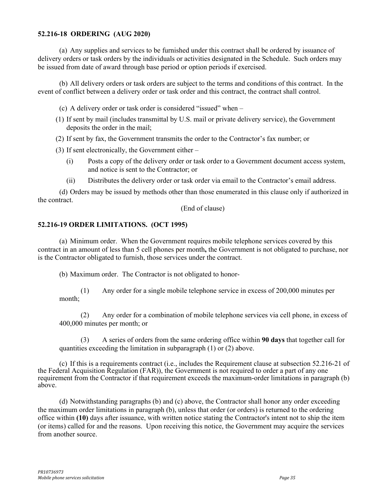#### **52.216-18 ORDERING (AUG 2020)**

(a) Any supplies and services to be furnished under this contract shall be ordered by issuance of delivery orders or task orders by the individuals or activities designated in the Schedule. Such orders may be issued from date of award through base period or option periods if exercised.

(b) All delivery orders or task orders are subject to the terms and conditions of this contract. In the event of conflict between a delivery order or task order and this contract, the contract shall control.

(c) A delivery order or task order is considered "issued" when –

(1) If sent by mail (includes transmittal by U.S. mail or private delivery service), the Government deposits the order in the mail;

(2) If sent by fax, the Government transmits the order to the Contractor's fax number; or

(3) If sent electronically, the Government either –

- (i) Posts a copy of the delivery order or task order to a Government document access system, and notice is sent to the Contractor; or
- (ii) Distributes the delivery order or task order via email to the Contractor's email address.

(d) Orders may be issued by methods other than those enumerated in this clause only if authorized in the contract.

(End of clause)

## **52.216-19 ORDER LIMITATIONS. (OCT 1995)**

(a) Minimum order. When the Government requires mobile telephone services covered by this contract in an amount of less than 5 cell phones per month**,** the Government is not obligated to purchase, nor is the Contractor obligated to furnish, those services under the contract.

(b) Maximum order. The Contractor is not obligated to honor-

(1) Any order for a single mobile telephone service in excess of 200,000 minutes per month;

(2) Any order for a combination of mobile telephone services via cell phone, in excess of 400,000 minutes per month; or

(3) A series of orders from the same ordering office within **90 days** that together call for quantities exceeding the limitation in subparagraph (1) or (2) above.

(c) If this is a requirements contract (i.e., includes the Requirement clause at subsection 52.216-21 of the Federal Acquisition Regulation (FAR)), the Government is not required to order a part of any one requirement from the Contractor if that requirement exceeds the maximum-order limitations in paragraph (b) above.

(d) Notwithstanding paragraphs (b) and (c) above, the Contractor shall honor any order exceeding the maximum order limitations in paragraph (b), unless that order (or orders) is returned to the ordering office within **(10)** days after issuance, with written notice stating the Contractor's intent not to ship the item (or items) called for and the reasons. Upon receiving this notice, the Government may acquire the services from another source.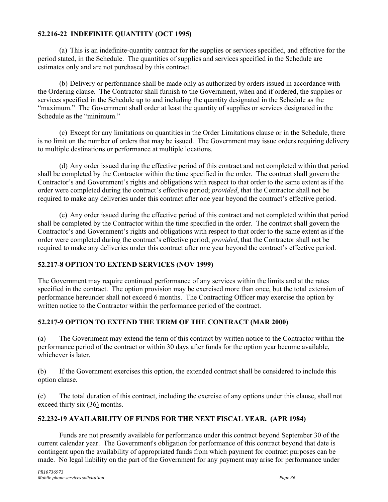## **52.216-22 INDEFINITE QUANTITY (OCT 1995)**

(a) This is an indefinite-quantity contract for the supplies or services specified, and effective for the period stated, in the Schedule. The quantities of supplies and services specified in the Schedule are estimates only and are not purchased by this contract.

(b) Delivery or performance shall be made only as authorized by orders issued in accordance with the Ordering clause. The Contractor shall furnish to the Government, when and if ordered, the supplies or services specified in the Schedule up to and including the quantity designated in the Schedule as the "maximum." The Government shall order at least the quantity of supplies or services designated in the Schedule as the "minimum."

(c) Except for any limitations on quantities in the Order Limitations clause or in the Schedule, there is no limit on the number of orders that may be issued. The Government may issue orders requiring delivery to multiple destinations or performance at multiple locations.

(d) Any order issued during the effective period of this contract and not completed within that period shall be completed by the Contractor within the time specified in the order. The contract shall govern the Contractor's and Government's rights and obligations with respect to that order to the same extent as if the order were completed during the contract's effective period; *provided*, that the Contractor shall not be required to make any deliveries under this contract after one year beyond the contract's effective period.

(e) Any order issued during the effective period of this contract and not completed within that period shall be completed by the Contractor within the time specified in the order. The contract shall govern the Contractor's and Government's rights and obligations with respect to that order to the same extent as if the order were completed during the contract's effective period; *provided*, that the Contractor shall not be required to make any deliveries under this contract after one year beyond the contract's effective period.

#### **52.217-8 OPTION TO EXTEND SERVICES (NOV 1999)**

The Government may require continued performance of any services within the limits and at the rates specified in the contract. The option provision may be exercised more than once, but the total extension of performance hereunder shall not exceed 6 months. The Contracting Officer may exercise the option by written notice to the Contractor within the performance period of the contract.

#### **52.217-9 OPTION TO EXTEND THE TERM OF THE CONTRACT (MAR 2000)**

(a) The Government may extend the term of this contract by written notice to the Contractor within the performance period of the contract or within 30 days after funds for the option year become available, whichever is later.

(b) If the Government exercises this option, the extended contract shall be considered to include this option clause.

(c) The total duration of this contract, including the exercise of any options under this clause, shall not exceed thirty six (36) months.

#### **52.232-19 AVAILABILITY OF FUNDS FOR THE NEXT FISCAL YEAR. (APR 1984)**

 Funds are not presently available for performance under this contract beyond September 30 of the current calendar year. The Government's obligation for performance of this contract beyond that date is contingent upon the availability of appropriated funds from which payment for contract purposes can be made. No legal liability on the part of the Government for any payment may arise for performance under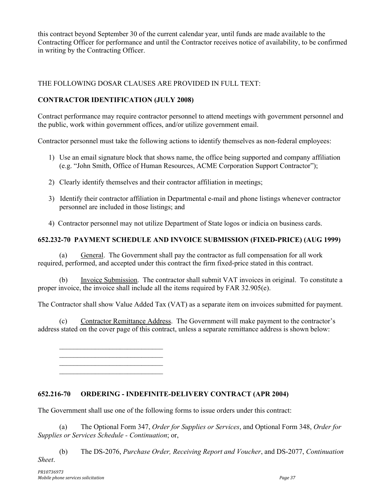this contract beyond September 30 of the current calendar year, until funds are made available to the Contracting Officer for performance and until the Contractor receives notice of availability, to be confirmed in writing by the Contracting Officer.

## THE FOLLOWING DOSAR CLAUSES ARE PROVIDED IN FULL TEXT:

## **CONTRACTOR IDENTIFICATION (JULY 2008)**

Contract performance may require contractor personnel to attend meetings with government personnel and the public, work within government offices, and/or utilize government email.

Contractor personnel must take the following actions to identify themselves as non-federal employees:

- 1) Use an email signature block that shows name, the office being supported and company affiliation (e.g. "John Smith, Office of Human Resources, ACME Corporation Support Contractor");
- 2) Clearly identify themselves and their contractor affiliation in meetings;
- 3) Identify their contractor affiliation in Departmental e-mail and phone listings whenever contractor personnel are included in those listings; and
- 4) Contractor personnel may not utilize Department of State logos or indicia on business cards.

#### **652.232-70 PAYMENT SCHEDULE AND INVOICE SUBMISSION (FIXED-PRICE) (AUG 1999)**

 (a) General. The Government shall pay the contractor as full compensation for all work required, performed, and accepted under this contract the firm fixed-price stated in this contract.

(b) Invoice Submission. The contractor shall submit VAT invoices in original. To constitute a proper invoice, the invoice shall include all the items required by FAR 32.905(e).

The Contractor shall show Value Added Tax (VAT) as a separate item on invoices submitted for payment.

 (c) Contractor Remittance Address. The Government will make payment to the contractor's address stated on the cover page of this contract, unless a separate remittance address is shown below:

 \_\_\_\_\_\_\_\_\_\_\_\_\_\_\_\_\_\_\_\_\_\_\_\_\_\_\_\_\_  $\mathcal{L}_\text{max}$ 

 \_\_\_\_\_\_\_\_\_\_\_\_\_\_\_\_\_\_\_\_\_\_\_\_\_\_\_\_\_  $\mathcal{L}_\text{max}$ 

#### **652.216-70 ORDERING - INDEFINITE-DELIVERY CONTRACT (APR 2004)**

The Government shall use one of the following forms to issue orders under this contract:

 (a) The Optional Form 347, *Order for Supplies or Services*, and Optional Form 348, *Order for Supplies or Services Schedule - Continuation*; or,

(b) The DS-2076, *Purchase Order, Receiving Report and Voucher*, and DS-2077, *Continuation Sheet*.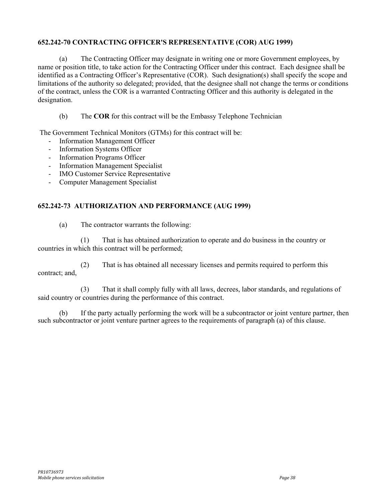#### **652.242-70 CONTRACTING OFFICER'S REPRESENTATIVE (COR) AUG 1999)**

 (a) The Contracting Officer may designate in writing one or more Government employees, by name or position title, to take action for the Contracting Officer under this contract. Each designee shall be identified as a Contracting Officer's Representative (COR). Such designation(s) shall specify the scope and limitations of the authority so delegated; provided, that the designee shall not change the terms or conditions of the contract, unless the COR is a warranted Contracting Officer and this authority is delegated in the designation.

(b) The **COR** for this contract will be the Embassy Telephone Technician

The Government Technical Monitors (GTMs) for this contract will be:

- Information Management Officer
- Information Systems Officer
- Information Programs Officer
- Information Management Specialist
- IMO Customer Service Representative
- Computer Management Specialist

#### **652.242-73 AUTHORIZATION AND PERFORMANCE (AUG 1999)**

(a) The contractor warrants the following:

 (1) That is has obtained authorization to operate and do business in the country or countries in which this contract will be performed;

 (2) That is has obtained all necessary licenses and permits required to perform this contract; and,

 (3) That it shall comply fully with all laws, decrees, labor standards, and regulations of said country or countries during the performance of this contract.

 (b) If the party actually performing the work will be a subcontractor or joint venture partner, then such subcontractor or joint venture partner agrees to the requirements of paragraph (a) of this clause.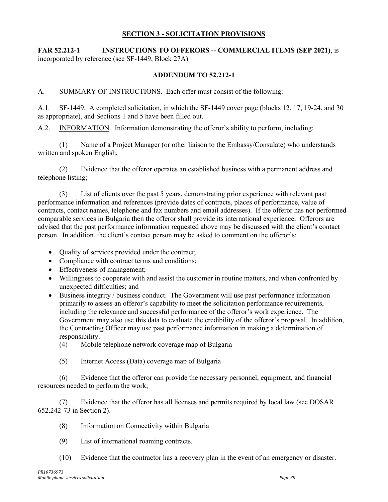### **SECTION 3 - SOLICITATION PROVISIONS**

#### **FAR 52.212-1 INSTRUCTIONS TO OFFERORS -- COMMERCIAL ITEMS (SEP 2021)**, is incorporated by reference (see SF-1449, Block 27A)

## **ADDENDUM TO 52.212-1**

#### A. SUMMARY OF INSTRUCTIONS. Each offer must consist of the following:

A.1*.* SF-1449. A completed solicitation, in which the SF-1449 cover page (blocks 12, 17, 19-24, and 30 as appropriate), and Sections 1 and 5 have been filled out.

A.2. INFORMATION. Information demonstrating the offeror's ability to perform, including:

 (1) Name of a Project Manager (or other liaison to the Embassy/Consulate) who understands written and spoken English;

 (2) Evidence that the offeror operates an established business with a permanent address and telephone listing;

 (3) List of clients over the past 5 years, demonstrating prior experience with relevant past performance information and references (provide dates of contracts, places of performance, value of contracts, contact names, telephone and fax numbers and email addresses). If the offeror has not performed comparable services in Bulgaria then the offeror shall provide its international experience. Offerors are advised that the past performance information requested above may be discussed with the client's contact person. In addition, the client's contact person may be asked to comment on the offeror's:

- Quality of services provided under the contract;
- Compliance with contract terms and conditions;
- Effectiveness of management:
- Willingness to cooperate with and assist the customer in routine matters, and when confronted by unexpected difficulties; and
- Business integrity / business conduct. The Government will use past performance information primarily to assess an offeror's capability to meet the solicitation performance requirements, including the relevance and successful performance of the offeror's work experience. The Government may also use this data to evaluate the credibility of the offeror's proposal. In addition, the Contracting Officer may use past performance information in making a determination of responsibility.
	- (4) Mobile telephone network coverage map of Bulgaria
	- (5) Internet Access (Data) coverage map of Bulgaria

 (6) Evidence that the offeror can provide the necessary personnel, equipment, and financial resources needed to perform the work;

 (7) Evidence that the offeror has all licenses and permits required by local law (see DOSAR 652.242-73 in Section 2).

- (8) Information on Connectivity within Bulgaria
- (9) List of international roaming contracts.
- (10) Evidence that the contractor has a recovery plan in the event of an emergency or disaster.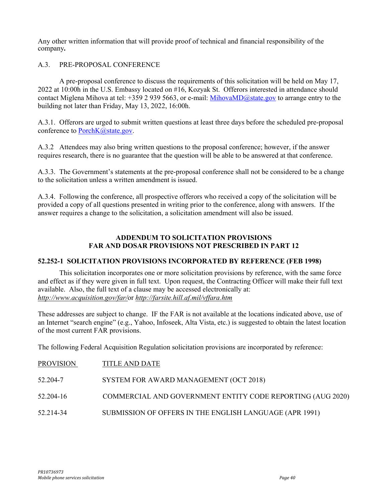Any other written information that will provide proof of technical and financial responsibility of the company*.* 

### A.3. PRE-PROPOSAL CONFERENCE

A pre-proposal conference to discuss the requirements of this solicitation will be held on May 17, 2022 at 10:00h in the U.S. Embassy located on #16, Kozyak St. Offerors interested in attendance should contact Miglena Mihova at tel: +359 2 939 5663, or e-mail:  $MihovaMD@state.gov$  to arrange entry to the building not later than Friday, May 13, 2022, 16:00h.

A.3.1. Offerors are urged to submit written questions at least three days before the scheduled pre-proposal conference to PorchK@state.gov.

A.3.2 Attendees may also bring written questions to the proposal conference; however, if the answer requires research, there is no guarantee that the question will be able to be answered at that conference.

A.3.3. The Government's statements at the pre-proposal conference shall not be considered to be a change to the solicitation unless a written amendment is issued.

A.3.4. Following the conference, all prospective offerors who received a copy of the solicitation will be provided a copy of all questions presented in writing prior to the conference, along with answers. If the answer requires a change to the solicitation, a solicitation amendment will also be issued.

#### **ADDENDUM TO SOLICITATION PROVISIONS FAR AND DOSAR PROVISIONS NOT PRESCRIBED IN PART 12**

#### **52.252-1 SOLICITATION PROVISIONS INCORPORATED BY REFERENCE (FEB 1998)**

 This solicitation incorporates one or more solicitation provisions by reference, with the same force and effect as if they were given in full text. Upon request, the Contracting Officer will make their full text available. Also, the full text of a clause may be accessed electronically at: *http://www.acquisition.gov/far/*or *http://farsite.hill.af.mil/vffara.htm*

These addresses are subject to change. IF the FAR is not available at the locations indicated above, use of an Internet "search engine" (e.g., Yahoo, Infoseek, Alta Vista, etc.) is suggested to obtain the latest location of the most current FAR provisions.

The following Federal Acquisition Regulation solicitation provisions are incorporated by reference:

| <b>PROVISION</b> | TITLE AND DATE                                             |
|------------------|------------------------------------------------------------|
| 52.204-7         | SYSTEM FOR AWARD MANAGEMENT (OCT 2018)                     |
| 52.204-16        | COMMERCIAL AND GOVERNMENT ENTITY CODE REPORTING (AUG 2020) |
| 52.214-34        | SUBMISSION OF OFFERS IN THE ENGLISH LANGUAGE (APR 1991)    |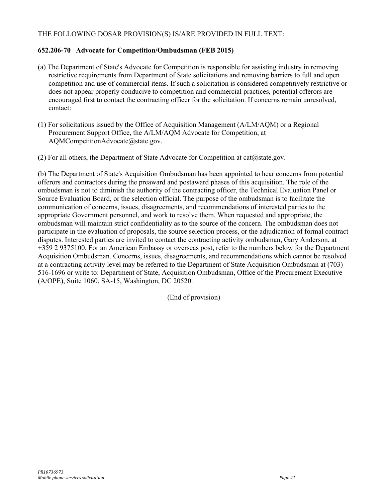#### THE FOLLOWING DOSAR PROVISION(S) IS/ARE PROVIDED IN FULL TEXT:

#### **652.206-70 Advocate for Competition/Ombudsman (FEB 2015)**

- (a) The Department of State's Advocate for Competition is responsible for assisting industry in removing restrictive requirements from Department of State solicitations and removing barriers to full and open competition and use of commercial items. If such a solicitation is considered competitively restrictive or does not appear properly conducive to competition and commercial practices, potential offerors are encouraged first to contact the contracting officer for the solicitation. If concerns remain unresolved, contact:
- (1) For solicitations issued by the Office of Acquisition Management (A/LM/AQM) or a Regional Procurement Support Office, the A/LM/AQM Advocate for Competition, at AQMCompetitionAdvocate@state.gov.
- (2) For all others, the Department of State Advocate for Competition at cat $(\partial_{\xi})$ state.gov.

(b) The Department of State's Acquisition Ombudsman has been appointed to hear concerns from potential offerors and contractors during the preaward and postaward phases of this acquisition. The role of the ombudsman is not to diminish the authority of the contracting officer, the Technical Evaluation Panel or Source Evaluation Board, or the selection official. The purpose of the ombudsman is to facilitate the communication of concerns, issues, disagreements, and recommendations of interested parties to the appropriate Government personnel, and work to resolve them. When requested and appropriate, the ombudsman will maintain strict confidentiality as to the source of the concern. The ombudsman does not participate in the evaluation of proposals, the source selection process, or the adjudication of formal contract disputes. Interested parties are invited to contact the contracting activity ombudsman, Gary Anderson, at +359 2 9375100. For an American Embassy or overseas post, refer to the numbers below for the Department Acquisition Ombudsman. Concerns, issues, disagreements, and recommendations which cannot be resolved at a contracting activity level may be referred to the Department of State Acquisition Ombudsman at (703) 516-1696 or write to: Department of State, Acquisition Ombudsman, Office of the Procurement Executive (A/OPE), Suite 1060, SA-15, Washington, DC 20520.

(End of provision)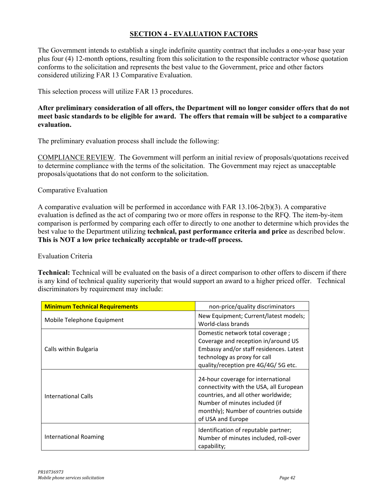# **SECTION 4 - EVALUATION FACTORS**

The Government intends to establish a single indefinite quantity contract that includes a one-year base year plus four (4) 12-month options, resulting from this solicitation to the responsible contractor whose quotation conforms to the solicitation and represents the best value to the Government, price and other factors considered utilizing FAR 13 Comparative Evaluation.

This selection process will utilize FAR 13 procedures.

#### **After preliminary consideration of all offers, the Department will no longer consider offers that do not meet basic standards to be eligible for award. The offers that remain will be subject to a comparative evaluation.**

The preliminary evaluation process shall include the following:

COMPLIANCE REVIEW. The Government will perform an initial review of proposals/quotations received to determine compliance with the terms of the solicitation. The Government may reject as unacceptable proposals/quotations that do not conform to the solicitation.

Comparative Evaluation

A comparative evaluation will be performed in accordance with FAR 13.106-2(b)(3). A comparative evaluation is defined as the act of comparing two or more offers in response to the RFQ. The item-by-item comparison is performed by comparing each offer to directly to one another to determine which provides the best value to the Department utilizing **technical, past performance criteria and price** as described below. **This is NOT a low price technically acceptable or trade-off process.** 

#### Evaluation Criteria

**Technical:** Technical will be evaluated on the basis of a direct comparison to other offers to discern if there is any kind of technical quality superiority that would support an award to a higher priced offer. Technical discriminators by requirement may include:

| <b>Minimum Technical Requirements</b> | non-price/quality discriminators                                                                                                                                                                                     |
|---------------------------------------|----------------------------------------------------------------------------------------------------------------------------------------------------------------------------------------------------------------------|
| Mobile Telephone Equipment            | New Equipment; Current/latest models;<br>World-class brands                                                                                                                                                          |
| Calls within Bulgaria                 | Domestic network total coverage;<br>Coverage and reception in/around US<br>Embassy and/or staff residences. Latest<br>technology as proxy for call<br>quality/reception pre 4G/4G/5G etc.                            |
| <b>International Calls</b>            | 24-hour coverage for international<br>connectivity with the USA, all European<br>countries, and all other worldwide;<br>Number of minutes included (if<br>monthly); Number of countries outside<br>of USA and Europe |
| <b>International Roaming</b>          | Identification of reputable partner;<br>Number of minutes included, roll-over<br>capability;                                                                                                                         |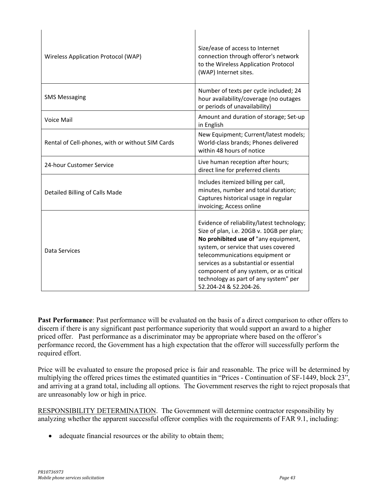| <b>Wireless Application Protocol (WAP)</b>       | Size/ease of access to Internet<br>connection through offeror's network<br>to the Wireless Application Protocol<br>(WAP) Internet sites.                                                                                                                                                                                                                           |
|--------------------------------------------------|--------------------------------------------------------------------------------------------------------------------------------------------------------------------------------------------------------------------------------------------------------------------------------------------------------------------------------------------------------------------|
| <b>SMS Messaging</b>                             | Number of texts per cycle included; 24<br>hour availability/coverage (no outages<br>or periods of unavailability)                                                                                                                                                                                                                                                  |
| Voice Mail                                       | Amount and duration of storage; Set-up<br>in English                                                                                                                                                                                                                                                                                                               |
| Rental of Cell-phones, with or without SIM Cards | New Equipment; Current/latest models;<br>World-class brands; Phones delivered<br>within 48 hours of notice                                                                                                                                                                                                                                                         |
| 24-hour Customer Service                         | Live human reception after hours;<br>direct line for preferred clients                                                                                                                                                                                                                                                                                             |
| Detailed Billing of Calls Made                   | Includes itemized billing per call,<br>minutes, number and total duration;<br>Captures historical usage in regular<br>invoicing; Access online                                                                                                                                                                                                                     |
| Data Services                                    | Evidence of reliability/latest technology;<br>Size of plan, i.e. 20GB v. 10GB per plan;<br>No prohibited use of "any equipment,<br>system, or service that uses covered<br>telecommunications equipment or<br>services as a substantial or essential<br>component of any system, or as critical<br>technology as part of any system" per<br>52.204-24 & 52.204-26. |

 $\overline{\phantom{a}}$ 

**Past Performance**: Past performance will be evaluated on the basis of a direct comparison to other offers to discern if there is any significant past performance superiority that would support an award to a higher priced offer. Past performance as a discriminator may be appropriate where based on the offeror's performance record, the Government has a high expectation that the offeror will successfully perform the required effort.

Price will be evaluated to ensure the proposed price is fair and reasonable. The price will be determined by multiplying the offered prices times the estimated quantities in "Prices - Continuation of SF-1449, block 23", and arriving at a grand total, including all options. The Government reserves the right to reject proposals that are unreasonably low or high in price.

RESPONSIBILITY DETERMINATION. The Government will determine contractor responsibility by analyzing whether the apparent successful offeror complies with the requirements of FAR 9.1, including:

• adequate financial resources or the ability to obtain them;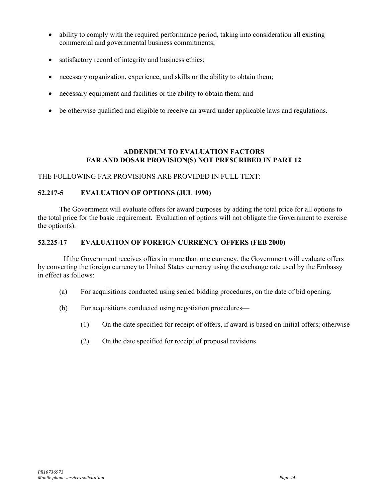- ability to comply with the required performance period, taking into consideration all existing commercial and governmental business commitments;
- satisfactory record of integrity and business ethics;
- necessary organization, experience, and skills or the ability to obtain them;
- necessary equipment and facilities or the ability to obtain them; and
- be otherwise qualified and eligible to receive an award under applicable laws and regulations.

## **ADDENDUM TO EVALUATION FACTORS FAR AND DOSAR PROVISION(S) NOT PRESCRIBED IN PART 12**

#### THE FOLLOWING FAR PROVISIONS ARE PROVIDED IN FULL TEXT:

#### **52.217-5 EVALUATION OF OPTIONS (JUL 1990)**

 The Government will evaluate offers for award purposes by adding the total price for all options to the total price for the basic requirement. Evaluation of options will not obligate the Government to exercise the option(s).

#### **52.225-17 EVALUATION OF FOREIGN CURRENCY OFFERS (FEB 2000)**

 If the Government receives offers in more than one currency, the Government will evaluate offers by converting the foreign currency to United States currency using the exchange rate used by the Embassy in effect as follows:

- (a) For acquisitions conducted using sealed bidding procedures, on the date of bid opening.
- (b) For acquisitions conducted using negotiation procedures—
	- (1) On the date specified for receipt of offers, if award is based on initial offers; otherwise
	- (2) On the date specified for receipt of proposal revisions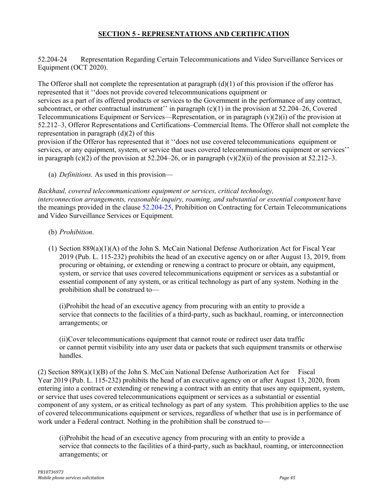## **SECTION 5 - REPRESENTATIONS AND CERTIFICATION**

52.204-24 Representation Regarding Certain Telecommunications and Video Surveillance Services or Equipment (OCT 2020).

The Offeror shall not complete the representation at paragraph  $(d)(1)$  of this provision if the offeror has represented that it ''does not provide covered telecommunications equipment or

services as a part of its offered products or services to the Government in the performance of any contract, subcontract, or other contractual instrument'' in paragraph  $(c)(1)$  in the provision at 52.204–26, Covered Telecommunications Equipment or Services—Representation, or in paragraph  $(v)(2)(i)$  of the provision at 52.212–3, Offeror Representations and Certifications–Commercial Items. The Offeror shall not complete the representation in paragraph (d)(2) of this

provision if the Offeror has represented that it ''does not use covered telecommunications equipment or services, or any equipment, system, or service that uses covered telecommunications equipment or services'' in paragraph (c)(2) of the provision at  $52.204-26$ , or in paragraph (v)(2)(ii) of the provision at  $52.212-3$ .

(a) *Definitions.* As used in this provision—

*Backhaul, covered telecommunications equipment or services, critical technology,*  interconnection arrangements, reasonable inquiry, roaming, and substantial or essential component have the meanings provided in the clause 52.204-25, Prohibition on Contracting for Certain Telecommunications and Video Surveillance Services or Equipment.

- (b) *Prohibition*.
- (1) Section 889(a)(1)(A) of the John S. McCain National Defense Authorization Act for Fiscal Year 2019 (Pub. L. 115-232) prohibits the head of an executive agency on or after August 13, 2019, from procuring or obtaining, or extending or renewing a contract to procure or obtain, any equipment, system, or service that uses covered telecommunications equipment or services as a substantial or essential component of any system, or as critical technology as part of any system. Nothing in the prohibition shall be construed to—

(i)Prohibit the head of an executive agency from procuring with an entity to provide a service that connects to the facilities of a third-party, such as backhaul, roaming, or interconnection arrangements; or

(ii)Cover telecommunications equipment that cannot route or redirect user data traffic or cannot permit visibility into any user data or packets that such equipment transmits or otherwise handles.

(2) Section 889(a)(1)(B) of the John S. McCain National Defense Authorization Act for Fiscal Year 2019 (Pub. L. 115-232) prohibits the head of an executive agency on or after August 13, 2020, from entering into a contract or extending or renewing a contract with an entity that uses any equipment, system, or service that uses covered telecommunications equipment or services as a substantial or essential component of any system, or as critical technology as part of any system. This prohibition applies to the use of covered telecommunications equipment or services, regardless of whether that use is in performance of work under a Federal contract. Nothing in the prohibition shall be construed to—

(i)Prohibit the head of an executive agency from procuring with an entity to provide a service that connects to the facilities of a third-party, such as backhaul, roaming, or interconnection arrangements; or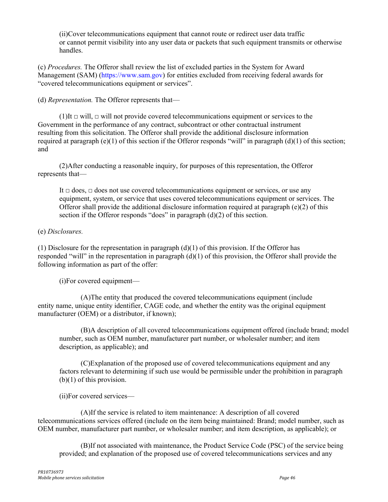(ii)Cover telecommunications equipment that cannot route or redirect user data traffic or cannot permit visibility into any user data or packets that such equipment transmits or otherwise handles.

(c) *Procedures.* The Offeror shall review the list of excluded parties in the System for Award Management (SAM) (https://www.sam.gov) for entities excluded from receiving federal awards for "covered telecommunications equipment or services".

(d) *Representation.* The Offeror represents that—

(1)It *□* will, *□* will not provide covered telecommunications equipment or services to the Government in the performance of any contract, subcontract or other contractual instrument resulting from this solicitation. The Offeror shall provide the additional disclosure information required at paragraph  $(e)(1)$  of this section if the Offeror responds "will" in paragraph  $(d)(1)$  of this section; and

(2)After conducting a reasonable inquiry, for purposes of this representation, the Offeror represents that—

It *□* does, *□* does not use covered telecommunications equipment or services, or use any equipment, system, or service that uses covered telecommunications equipment or services. The Offeror shall provide the additional disclosure information required at paragraph  $(e)(2)$  of this section if the Offeror responds "does" in paragraph (d)(2) of this section.

#### (e) *Disclosures.*

(1) Disclosure for the representation in paragraph  $(d)(1)$  of this provision. If the Offeror has responded "will" in the representation in paragraph  $(d)(1)$  of this provision, the Offeror shall provide the following information as part of the offer:

(i)For covered equipment—

(A)The entity that produced the covered telecommunications equipment (include entity name, unique entity identifier, CAGE code, and whether the entity was the original equipment manufacturer (OEM) or a distributor, if known);

(B)A description of all covered telecommunications equipment offered (include brand; model number, such as OEM number, manufacturer part number, or wholesaler number; and item description, as applicable); and

(C)Explanation of the proposed use of covered telecommunications equipment and any factors relevant to determining if such use would be permissible under the prohibition in paragraph (b)(1) of this provision.

(ii)For covered services—

(A)If the service is related to item maintenance: A description of all covered telecommunications services offered (include on the item being maintained: Brand; model number, such as OEM number, manufacturer part number, or wholesaler number; and item description, as applicable); or

(B)If not associated with maintenance, the Product Service Code (PSC) of the service being provided; and explanation of the proposed use of covered telecommunications services and any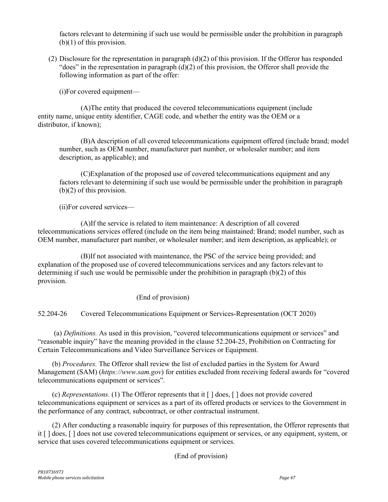factors relevant to determining if such use would be permissible under the prohibition in paragraph (b)(1) of this provision.

(2) Disclosure for the representation in paragraph  $(d)(2)$  of this provision. If the Offeror has responded "does" in the representation in paragraph  $(d)(2)$  of this provision, the Offeror shall provide the following information as part of the offer:

(i)For covered equipment—

(A)The entity that produced the covered telecommunications equipment (include entity name, unique entity identifier, CAGE code, and whether the entity was the OEM or a distributor, if known);

(B)A description of all covered telecommunications equipment offered (include brand; model number, such as OEM number, manufacturer part number, or wholesaler number; and item description, as applicable); and

(C)Explanation of the proposed use of covered telecommunications equipment and any factors relevant to determining if such use would be permissible under the prohibition in paragraph (b)(2) of this provision.

(ii)For covered services—

(A)If the service is related to item maintenance: A description of all covered telecommunications services offered (include on the item being maintained: Brand; model number, such as OEM number, manufacturer part number, or wholesaler number; and item description, as applicable); or

(B)If not associated with maintenance, the PSC of the service being provided; and explanation of the proposed use of covered telecommunications services and any factors relevant to determining if such use would be permissible under the prohibition in paragraph (b)(2) of this provision.

(End of provision)

52.204-26 Covered Telecommunications Equipment or Services-Representation (OCT 2020)

 (a) *Definitions.* As used in this provision, "covered telecommunications equipment or services" and "reasonable inquiry" have the meaning provided in the clause 52.204-25, Prohibition on Contracting for Certain Telecommunications and Video Surveillance Services or Equipment.

(b) *Procedures.* The Offeror shall review the list of excluded parties in the System for Award Management (SAM) (*https://www.sam.gov*) for entities excluded from receiving federal awards for "covered telecommunications equipment or services".

(c) *Representations.* (1) The Offeror represents that it [ ] does, [ ] does not provide covered telecommunications equipment or services as a part of its offered products or services to the Government in the performance of any contract, subcontract, or other contractual instrument.

(2) After conducting a reasonable inquiry for purposes of this representation, the Offeror represents that it [ ] does, [ ] does not use covered telecommunications equipment or services, or any equipment, system, or service that uses covered telecommunications equipment or services.

(End of provision)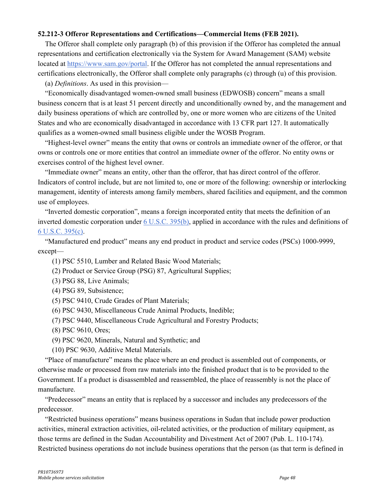#### **52.212-3 Offeror Representations and Certifications—Commercial Items (FEB 2021).**

The Offeror shall complete only paragraph (b) of this provision if the Offeror has completed the annual representations and certification electronically via the System for Award Management (SAM) website located at https://www.sam.gov/portal. If the Offeror has not completed the annual representations and certifications electronically, the Offeror shall complete only paragraphs (c) through (u) of this provision.

(a) *Definitions*. As used in this provision—

"Economically disadvantaged women-owned small business (EDWOSB) concern" means a small business concern that is at least 51 percent directly and unconditionally owned by, and the management and daily business operations of which are controlled by, one or more women who are citizens of the United States and who are economically disadvantaged in accordance with 13 CFR part 127. It automatically qualifies as a women-owned small business eligible under the WOSB Program.

"Highest-level owner" means the entity that owns or controls an immediate owner of the offeror, or that owns or controls one or more entities that control an immediate owner of the offeror. No entity owns or exercises control of the highest level owner.

"Immediate owner" means an entity, other than the offeror, that has direct control of the offeror. Indicators of control include, but are not limited to, one or more of the following: ownership or interlocking management, identity of interests among family members, shared facilities and equipment, and the common use of employees.

"Inverted domestic corporation", means a foreign incorporated entity that meets the definition of an inverted domestic corporation under 6 U.S.C. 395(b), applied in accordance with the rules and definitions of 6 U.S.C. 395(c).

"Manufactured end product" means any end product in product and service codes (PSCs) 1000-9999, except—

- (1) PSC 5510, Lumber and Related Basic Wood Materials;
- (2) Product or Service Group (PSG) 87, Agricultural Supplies;
- (3) PSG 88, Live Animals;
- (4) PSG 89, Subsistence;
- (5) PSC 9410, Crude Grades of Plant Materials;
- (6) PSC 9430, Miscellaneous Crude Animal Products, Inedible;
- (7) PSC 9440, Miscellaneous Crude Agricultural and Forestry Products;
- (8) PSC 9610, Ores;
- (9) PSC 9620, Minerals, Natural and Synthetic; and
- (10) PSC 9630, Additive Metal Materials.

"Place of manufacture" means the place where an end product is assembled out of components, or otherwise made or processed from raw materials into the finished product that is to be provided to the Government. If a product is disassembled and reassembled, the place of reassembly is not the place of manufacture.

"Predecessor" means an entity that is replaced by a successor and includes any predecessors of the predecessor.

"Restricted business operations" means business operations in Sudan that include power production activities, mineral extraction activities, oil-related activities, or the production of military equipment, as those terms are defined in the Sudan Accountability and Divestment Act of 2007 (Pub. L. 110-174). Restricted business operations do not include business operations that the person (as that term is defined in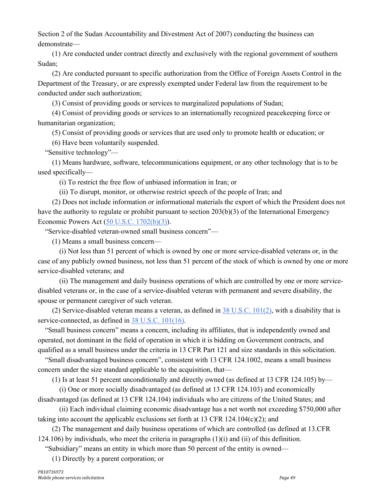Section 2 of the Sudan Accountability and Divestment Act of 2007) conducting the business can demonstrate—

(1) Are conducted under contract directly and exclusively with the regional government of southern Sudan;

(2) Are conducted pursuant to specific authorization from the Office of Foreign Assets Control in the Department of the Treasury, or are expressly exempted under Federal law from the requirement to be conducted under such authorization;

(3) Consist of providing goods or services to marginalized populations of Sudan;

(4) Consist of providing goods or services to an internationally recognized peacekeeping force or humanitarian organization;

(5) Consist of providing goods or services that are used only to promote health or education; or

(6) Have been voluntarily suspended.

"Sensitive technology"—

(1) Means hardware, software, telecommunications equipment, or any other technology that is to be used specifically—

(i) To restrict the free flow of unbiased information in Iran; or

(ii) To disrupt, monitor, or otherwise restrict speech of the people of Iran; and

(2) Does not include information or informational materials the export of which the President does not have the authority to regulate or prohibit pursuant to section 203(b)(3) of the International Emergency Economic Powers Act (50 U.S.C. 1702(b)(3)).

"Service-disabled veteran-owned small business concern"—

(1) Means a small business concern—

(i) Not less than 51 percent of which is owned by one or more service-disabled veterans or, in the case of any publicly owned business, not less than 51 percent of the stock of which is owned by one or more service-disabled veterans; and

(ii) The management and daily business operations of which are controlled by one or more servicedisabled veterans or, in the case of a service-disabled veteran with permanent and severe disability, the spouse or permanent caregiver of such veteran.

(2) Service-disabled veteran means a veteran, as defined in  $\frac{38 \text{ U.S.C. } 101(2)}{20}$ , with a disability that is service-connected, as defined in 38 U.S.C. 101(16).

"Small business concern" means a concern, including its affiliates, that is independently owned and operated, not dominant in the field of operation in which it is bidding on Government contracts, and qualified as a small business under the criteria in 13 CFR Part 121 and size standards in this solicitation.

"Small disadvantaged business concern", consistent with 13 CFR 124.1002, means a small business concern under the size standard applicable to the acquisition, that—

(1) Is at least 51 percent unconditionally and directly owned (as defined at 13 CFR 124.105) by—

(i) One or more socially disadvantaged (as defined at 13 CFR 124.103) and economically disadvantaged (as defined at 13 CFR 124.104) individuals who are citizens of the United States; and

(ii) Each individual claiming economic disadvantage has a net worth not exceeding \$750,000 after taking into account the applicable exclusions set forth at 13 CFR 124.104 $(c)(2)$ ; and

(2) The management and daily business operations of which are controlled (as defined at 13.CFR 124.106) by individuals, who meet the criteria in paragraphs (1)(i) and (ii) of this definition.

"Subsidiary" means an entity in which more than 50 percent of the entity is owned—

(1) Directly by a parent corporation; or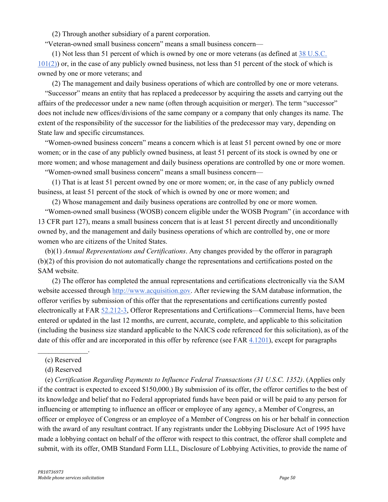(2) Through another subsidiary of a parent corporation.

"Veteran-owned small business concern" means a small business concern—

(1) Not less than 51 percent of which is owned by one or more veterans (as defined at 38 U.S.C. 101(2)) or, in the case of any publicly owned business, not less than 51 percent of the stock of which is owned by one or more veterans; and

(2) The management and daily business operations of which are controlled by one or more veterans. "Successor" means an entity that has replaced a predecessor by acquiring the assets and carrying out the affairs of the predecessor under a new name (often through acquisition or merger). The term "successor" does not include new offices/divisions of the same company or a company that only changes its name. The extent of the responsibility of the successor for the liabilities of the predecessor may vary, depending on State law and specific circumstances.

"Women-owned business concern" means a concern which is at least 51 percent owned by one or more women; or in the case of any publicly owned business, at least 51 percent of its stock is owned by one or more women; and whose management and daily business operations are controlled by one or more women.

"Women-owned small business concern" means a small business concern—

(1) That is at least 51 percent owned by one or more women; or, in the case of any publicly owned business, at least 51 percent of the stock of which is owned by one or more women; and

(2) Whose management and daily business operations are controlled by one or more women.

"Women-owned small business (WOSB) concern eligible under the WOSB Program" (in accordance with 13 CFR part 127), means a small business concern that is at least 51 percent directly and unconditionally owned by, and the management and daily business operations of which are controlled by, one or more women who are citizens of the United States.

(b)(1) *Annual Representations and Certifications*. Any changes provided by the offeror in paragraph (b)(2) of this provision do not automatically change the representations and certifications posted on the SAM website.

(2) The offeror has completed the annual representations and certifications electronically via the SAM website accessed through http://www.acquisition.gov. After reviewing the SAM database information, the offeror verifies by submission of this offer that the representations and certifications currently posted electronically at FAR 52.212-3, Offeror Representations and Certifications—Commercial Items, have been entered or updated in the last 12 months, are current, accurate, complete, and applicable to this solicitation (including the business size standard applicable to the NAICS code referenced for this solicitation), as of the date of this offer and are incorporated in this offer by reference (see FAR 4.1201), except for paragraphs

(e) *Certification Regarding Payments to Influence Federal Transactions (31 U.S.C. 1352)*. (Applies only if the contract is expected to exceed \$150,000.) By submission of its offer, the offeror certifies to the best of its knowledge and belief that no Federal appropriated funds have been paid or will be paid to any person for influencing or attempting to influence an officer or employee of any agency, a Member of Congress, an officer or employee of Congress or an employee of a Member of Congress on his or her behalf in connection with the award of any resultant contract. If any registrants under the Lobbying Disclosure Act of 1995 have made a lobbying contact on behalf of the offeror with respect to this contract, the offeror shall complete and submit, with its offer, OMB Standard Form LLL, Disclosure of Lobbying Activities, to provide the name of

 $\mathcal{L}=\mathcal{L}^{\text{max}}$ (c) Reserved

<sup>(</sup>d) Reserved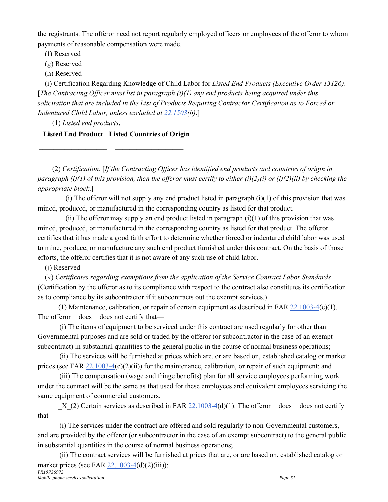the registrants. The offeror need not report regularly employed officers or employees of the offeror to whom payments of reasonable compensation were made.

(f) Reserved

(g) Reserved

(h) Reserved

(i) Certification Regarding Knowledge of Child Labor for *Listed End Products (Executive Order 13126)*. [*The Contracting Officer must list in paragraph (i)(1) any end products being acquired under this solicitation that are included in the List of Products Requiring Contractor Certification as to Forced or Indentured Child Labor, unless excluded at 22.1503(b)*.]

(1) *Listed end products*.

# **Listed End Product Listed Countries of Origin**

\_\_\_\_\_\_\_\_\_\_\_\_\_\_\_\_\_\_\_ \_\_\_\_\_\_\_\_\_\_\_\_\_\_\_\_\_\_\_ \_\_\_\_\_\_\_\_\_\_\_\_\_\_\_\_\_\_\_ \_\_\_\_\_\_\_\_\_\_\_\_\_\_\_\_\_\_\_

(2) *Certification*. [*If the Contracting Officer has identified end products and countries of origin in paragraph (i)(1) of this provision, then the offeror must certify to either (i)(2)(i) or (i)(2)(ii) by checking the appropriate block*.]

 $\Box$  (i) The offeror will not supply any end product listed in paragraph (i)(1) of this provision that was mined, produced, or manufactured in the corresponding country as listed for that product.

 $\Box$  (ii) The offeror may supply an end product listed in paragraph (i)(1) of this provision that was mined, produced, or manufactured in the corresponding country as listed for that product. The offeror certifies that it has made a good faith effort to determine whether forced or indentured child labor was used to mine, produce, or manufacture any such end product furnished under this contract. On the basis of those efforts, the offeror certifies that it is not aware of any such use of child labor.

(j) Reserved

(k) *Certificates regarding exemptions from the application of the Service Contract Labor Standards*  (Certification by the offeror as to its compliance with respect to the contract also constitutes its certification as to compliance by its subcontractor if it subcontracts out the exempt services.)

 $\Box$  (1) Maintenance, calibration, or repair of certain equipment as described in FAR 22.1003-4(c)(1). The offeror  $\Box$  does  $\Box$  does not certify that—

(i) The items of equipment to be serviced under this contract are used regularly for other than Governmental purposes and are sold or traded by the offeror (or subcontractor in the case of an exempt subcontract) in substantial quantities to the general public in the course of normal business operations;

(ii) The services will be furnished at prices which are, or are based on, established catalog or market prices (see FAR 22.1003-4(c)(2)(ii)) for the maintenance, calibration, or repair of such equipment; and

(iii) The compensation (wage and fringe benefits) plan for all service employees performing work under the contract will be the same as that used for these employees and equivalent employees servicing the same equipment of commercial customers.

 $\Box$  X (2) Certain services as described in FAR 22.1003-4(d)(1). The offeror  $\Box$  does  $\Box$  does not certify that—

(i) The services under the contract are offered and sold regularly to non-Governmental customers, and are provided by the offeror (or subcontractor in the case of an exempt subcontract) to the general public in substantial quantities in the course of normal business operations;

*PR10736973* (ii) The contract services will be furnished at prices that are, or are based on, established catalog or market prices (see FAR 22.1003-4(d)(2)(iii));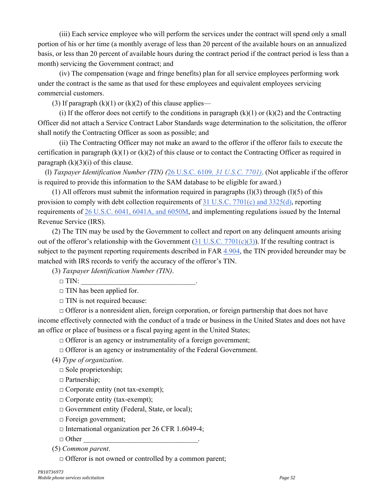(iii) Each service employee who will perform the services under the contract will spend only a small portion of his or her time (a monthly average of less than 20 percent of the available hours on an annualized basis, or less than 20 percent of available hours during the contract period if the contract period is less than a month) servicing the Government contract; and

(iv) The compensation (wage and fringe benefits) plan for all service employees performing work under the contract is the same as that used for these employees and equivalent employees servicing commercial customers.

(3) If paragraph  $(k)(1)$  or  $(k)(2)$  of this clause applies—

(i) If the offeror does not certify to the conditions in paragraph  $(k)(1)$  or  $(k)(2)$  and the Contracting Officer did not attach a Service Contract Labor Standards wage determination to the solicitation, the offeror shall notify the Contracting Officer as soon as possible; and

(ii) The Contracting Officer may not make an award to the offeror if the offeror fails to execute the certification in paragraph (k)(1) or (k)(2) of this clause or to contact the Contracting Officer as required in paragraph  $(k)(3)(i)$  of this clause.

(l) *Taxpayer Identification Number (TIN) (*26 U.S.C. 6109*, 31 U.S.C. 7701)*. (Not applicable if the offeror is required to provide this information to the SAM database to be eligible for award.)

(1) All offerors must submit the information required in paragraphs  $(1)(3)$  through  $(1)(5)$  of this provision to comply with debt collection requirements of 31 U.S.C. 7701(c) and 3325(d), reporting requirements of 26 U.S.C. 6041, 6041A, and 6050M, and implementing regulations issued by the Internal Revenue Service (IRS).

(2) The TIN may be used by the Government to collect and report on any delinquent amounts arising out of the offeror's relationship with the Government  $(31 \text{ U.S.C. } 7701(c)(3))$ . If the resulting contract is subject to the payment reporting requirements described in FAR 4.904, the TIN provided hereunder may be matched with IRS records to verify the accuracy of the offeror's TIN.

(3) *Taxpayer Identification Number (TIN)*.

 $\Box$  TIN:

 $\Box$  TIN has been applied for.

□ TIN is not required because:

 $\Box$  Offeror is a nonresident alien, foreign corporation, or foreign partnership that does not have income effectively connected with the conduct of a trade or business in the United States and does not have an office or place of business or a fiscal paying agent in the United States;

 $\Box$  Offeror is an agency or instrumentality of a foreign government;

 $\Box$  Offeror is an agency or instrumentality of the Federal Government.

(4) *Type of organization*.

 $\Box$  Sole proprietorship;

□ Partnership;

 $\Box$  Corporate entity (not tax-exempt);

□ Corporate entity (tax-exempt);

□ Government entity (Federal, State, or local);

□ Foreign government;

 $\Box$  International organization per 26 CFR 1.6049-4;

 $\Box$  Other

(5) *Common parent*.

 $\Box$  Offeror is not owned or controlled by a common parent;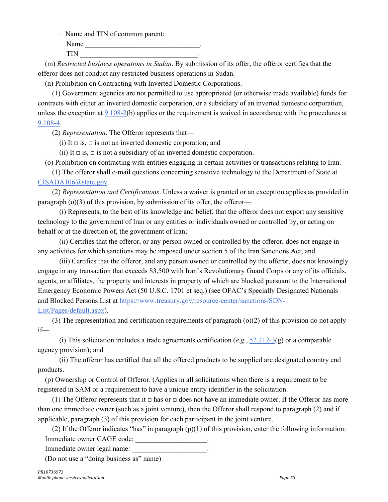□ Name and TIN of common parent:

Name

 $\textrm{TIN}$ 

(m) *Restricted business operations in Sudan*. By submission of its offer, the offeror certifies that the offeror does not conduct any restricted business operations in Sudan.

(n) Prohibition on Contracting with Inverted Domestic Corporations.

(1) Government agencies are not permitted to use appropriated (or otherwise made available) funds for contracts with either an inverted domestic corporation, or a subsidiary of an inverted domestic corporation, unless the exception at 9.108-2(b) applies or the requirement is waived in accordance with the procedures at 9.108-4.

(2) *Representation*. The Offeror represents that—

(i) It  $\Box$  is,  $\Box$  is not an inverted domestic corporation; and

(ii) It  $\Box$  is,  $\Box$  is not a subsidiary of an inverted domestic corporation.

(o) Prohibition on contracting with entities engaging in certain activities or transactions relating to Iran.

(1) The offeror shall e-mail questions concerning sensitive technology to the Department of State at CISADA106@state.gov.

(2) *Representation and Certifications*. Unless a waiver is granted or an exception applies as provided in paragraph (o)(3) of this provision, by submission of its offer, the offeror—

(i) Represents, to the best of its knowledge and belief, that the offeror does not export any sensitive technology to the government of Iran or any entities or individuals owned or controlled by, or acting on behalf or at the direction of, the government of Iran;

(ii) Certifies that the offeror, or any person owned or controlled by the offeror, does not engage in any activities for which sanctions may be imposed under section 5 of the Iran Sanctions Act; and

(iii) Certifies that the offeror, and any person owned or controlled by the offeror, does not knowingly engage in any transaction that exceeds \$3,500 with Iran's Revolutionary Guard Corps or any of its officials, agents, or affiliates, the property and interests in property of which are blocked pursuant to the International Emergency Economic Powers Act (50 U.S.C. 1701 et seq.) (see OFAC's Specially Designated Nationals and Blocked Persons List at https://www.treasury.gov/resource-center/sanctions/SDN-List/Pages/default.aspx).

(3) The representation and certification requirements of paragraph (o)(2) of this provision do not apply if—

(i) This solicitation includes a trade agreements certification (*e.g.*, 52.212-3(g) or a comparable agency provision); and

(ii) The offeror has certified that all the offered products to be supplied are designated country end products.

(p) Ownership or Control of Offeror. (Applies in all solicitations when there is a requirement to be registered in SAM or a requirement to have a unique entity identifier in the solicitation.

(1) The Offeror represents that it  $\Box$  has or  $\Box$  does not have an immediate owner. If the Offeror has more than one immediate owner (such as a joint venture), then the Offeror shall respond to paragraph (2) and if applicable, paragraph (3) of this provision for each participant in the joint venture.

(2) If the Offeror indicates "has" in paragraph  $(p)(1)$  of this provision, enter the following information:

Immediate owner CAGE code:

Immediate owner legal name:

(Do not use a "doing business as" name)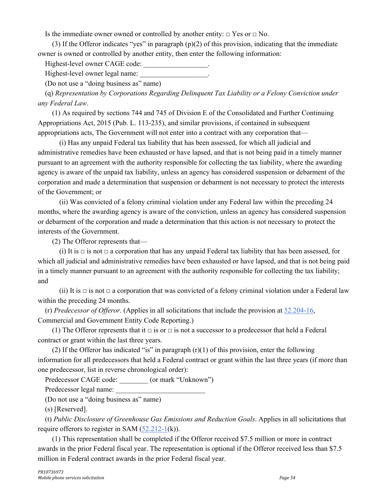Is the immediate owner owned or controlled by another entity:  $\Box$  Yes or  $\Box$  No.

(3) If the Offeror indicates "yes" in paragraph (p)(2) of this provision, indicating that the immediate owner is owned or controlled by another entity, then enter the following information:

Highest-level owner CAGE code:

Highest-level owner legal name:

(Do not use a "doing business as" name)

(q) *Representation by Corporations Regarding Delinquent Tax Liability or a Felony Conviction under any Federal Law*.

(1) As required by sections 744 and 745 of Division E of the Consolidated and Further Continuing Appropriations Act, 2015 (Pub. L. 113-235), and similar provisions, if contained in subsequent appropriations acts, The Government will not enter into a contract with any corporation that—

(i) Has any unpaid Federal tax liability that has been assessed, for which all judicial and administrative remedies have been exhausted or have lapsed, and that is not being paid in a timely manner pursuant to an agreement with the authority responsible for collecting the tax liability, where the awarding agency is aware of the unpaid tax liability, unless an agency has considered suspension or debarment of the corporation and made a determination that suspension or debarment is not necessary to protect the interests of the Government; or

(ii) Was convicted of a felony criminal violation under any Federal law within the preceding 24 months, where the awarding agency is aware of the conviction, unless an agency has considered suspension or debarment of the corporation and made a determination that this action is not necessary to protect the interests of the Government.

(2) The Offeror represents that—

(i) It is  $\Box$  is not  $\Box$  a corporation that has any unpaid Federal tax liability that has been assessed, for which all judicial and administrative remedies have been exhausted or have lapsed, and that is not being paid in a timely manner pursuant to an agreement with the authority responsible for collecting the tax liability; and

(ii) It is  $\Box$  is not  $\Box$  a corporation that was convicted of a felony criminal violation under a Federal law within the preceding 24 months.

(r) *Predecessor of Offeror*. (Applies in all solicitations that include the provision at 52.204-16, Commercial and Government Entity Code Reporting.)

(1) The Offeror represents that it  $\Box$  is or  $\Box$  is not a successor to a predecessor that held a Federal contract or grant within the last three years.

(2) If the Offeror has indicated "is" in paragraph  $(r)(1)$  of this provision, enter the following information for all predecessors that held a Federal contract or grant within the last three years (if more than one predecessor, list in reverse chronological order):

Predecessor CAGE code: \_\_\_\_\_\_\_ (or mark "Unknown")

Predecessor legal name:

(Do not use a "doing business as" name)

(s) [Reserved].

(t) *Public Disclosure of Greenhouse Gas Emissions and Reduction Goals*. Applies in all solicitations that require offerors to register in SAM  $(52.212-1(k))$ .

(1) This representation shall be completed if the Offeror received \$7.5 million or more in contract awards in the prior Federal fiscal year. The representation is optional if the Offeror received less than \$7.5 million in Federal contract awards in the prior Federal fiscal year.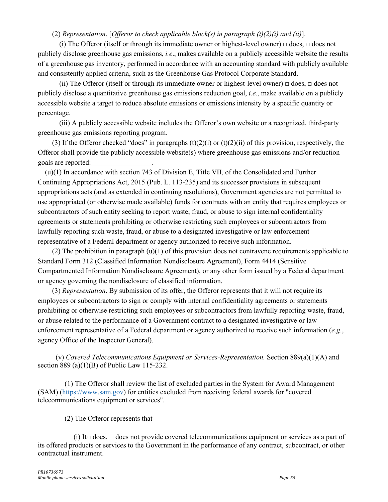### (2) *Representation*. [*Offeror to check applicable block(s) in paragraph (t)(2)(i) and (ii)*].

(i) The Offeror (itself or through its immediate owner or highest-level owner)  $\Box$  does,  $\Box$  does not publicly disclose greenhouse gas emissions, *i.e*., makes available on a publicly accessible website the results of a greenhouse gas inventory, performed in accordance with an accounting standard with publicly available and consistently applied criteria, such as the Greenhouse Gas Protocol Corporate Standard.

(ii) The Offeror (itself or through its immediate owner or highest-level owner)  $\Box$  does,  $\Box$  does not publicly disclose a quantitative greenhouse gas emissions reduction goal, *i.e.*, make available on a publicly accessible website a target to reduce absolute emissions or emissions intensity by a specific quantity or percentage.

(iii) A publicly accessible website includes the Offeror's own website or a recognized, third-party greenhouse gas emissions reporting program.

(3) If the Offeror checked "does" in paragraphs  $(t)(2)(i)$  or  $(t)(2)(ii)$  of this provision, respectively, the Offeror shall provide the publicly accessible website(s) where greenhouse gas emissions and/or reduction goals are reported:\_\_\_\_\_\_\_\_\_\_\_\_\_\_\_\_\_.

(u)(1) In accordance with section 743 of Division E, Title VII, of the Consolidated and Further Continuing Appropriations Act, 2015 (Pub. L. 113-235) and its successor provisions in subsequent appropriations acts (and as extended in continuing resolutions), Government agencies are not permitted to use appropriated (or otherwise made available) funds for contracts with an entity that requires employees or subcontractors of such entity seeking to report waste, fraud, or abuse to sign internal confidentiality agreements or statements prohibiting or otherwise restricting such employees or subcontractors from lawfully reporting such waste, fraud, or abuse to a designated investigative or law enforcement representative of a Federal department or agency authorized to receive such information.

(2) The prohibition in paragraph  $(u)(1)$  of this provision does not contravene requirements applicable to Standard Form 312 (Classified Information Nondisclosure Agreement), Form 4414 (Sensitive Compartmented Information Nondisclosure Agreement), or any other form issued by a Federal department or agency governing the nondisclosure of classified information.

(3) *Representation*. By submission of its offer, the Offeror represents that it will not require its employees or subcontractors to sign or comply with internal confidentiality agreements or statements prohibiting or otherwise restricting such employees or subcontractors from lawfully reporting waste, fraud, or abuse related to the performance of a Government contract to a designated investigative or law enforcement representative of a Federal department or agency authorized to receive such information (*e.g*., agency Office of the Inspector General).

 (v) *Covered Telecommunications Equipment or Services-Representation.* Section 889(a)(1)(A) and section 889 (a)(1)(B) of Public Law 115-232.

 (1) The Offeror shall review the list of excluded parties in the System for Award Management (SAM) (https://www.sam.gov) for entities excluded from receiving federal awards for "covered telecommunications equipment or services".

(2) The Offeror represents that–

 (i) It*□* does, *□* does not provide covered telecommunications equipment or services as a part of its offered products or services to the Government in the performance of any contract, subcontract, or other contractual instrument.